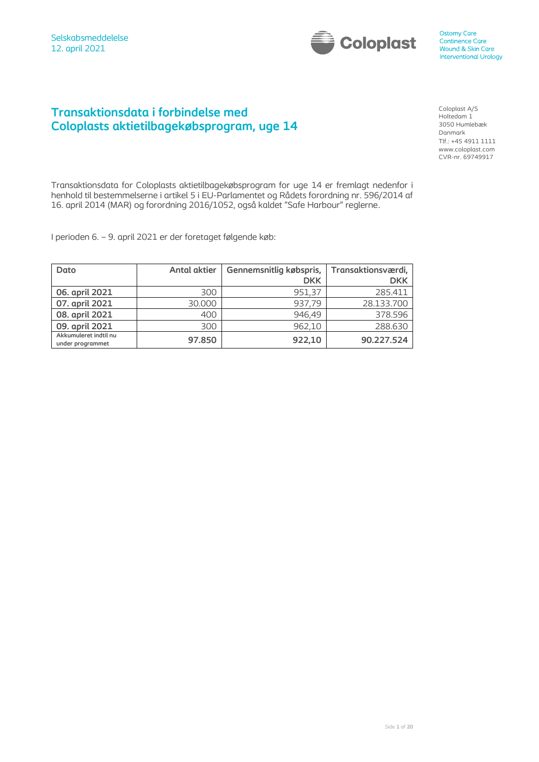

## **Transaktionsdata i forbindelse med Coloplasts aktietilbagekøbsprogram, uge 14**

Coloplast A/S Holtedam 1 3050 Humlebæk Danmark Tlf.: +45 4911 1111 www.coloplast.com CVR-nr. 69749917

Transaktionsdata for Coloplasts aktietilbagekøbsprogram for uge 14 er fremlagt nedenfor i henhold til bestemmelserne i artikel 5 i EU-Parlamentet og Rådets forordning nr. 596/2014 af 16. april 2014 (MAR) og forordning 2016/1052, også kaldet "Safe Harbour" reglerne.

I perioden 6. – 9. april 2021 er der foretaget følgende køb:

| Dato                                      | <b>Antal aktier</b> | Gennemsnitlig købspris, | Transaktionsværdi, |
|-------------------------------------------|---------------------|-------------------------|--------------------|
|                                           |                     | <b>DKK</b>              | <b>DKK</b>         |
| 06. april 2021                            | 300                 | 951,37                  | 285.411            |
| 07. april 2021                            | 30.000              | 937,79                  | 28.133.700         |
| 08. april 2021                            | 400                 | 946,49                  | 378.596            |
| 09. april 2021                            | 300                 | 962.10                  | 288.630            |
| Akkumuleret indtil nu<br>under programmet | 97.850              | 922,10                  | 90.227.524         |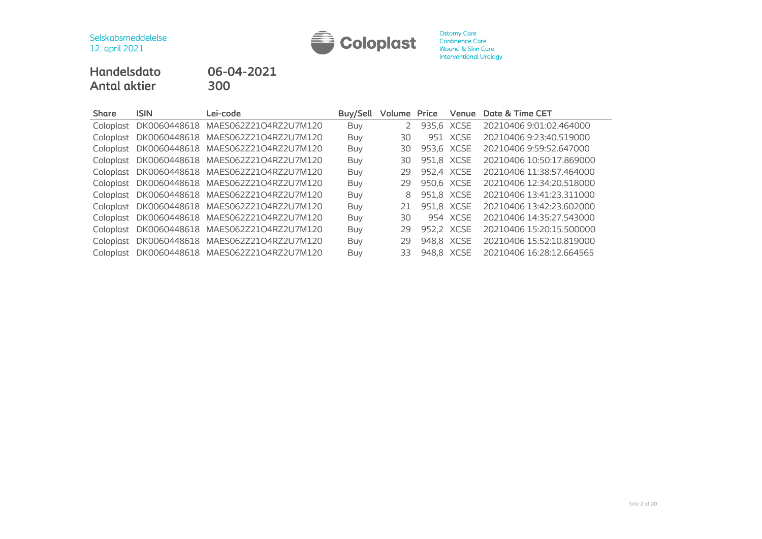

# **Handelsdato 06-04-2021 Antal aktier 300**

| <b>Share</b> | <b>ISIN</b> | Lei-code                           | Buy/Sell   | Volume | Price      | Venue      | Date & Time CET          |
|--------------|-------------|------------------------------------|------------|--------|------------|------------|--------------------------|
| Coloplast    |             | DK0060448618 MAES062Z21O4RZ2U7M120 | <b>Buy</b> |        | 935,6 XCSE |            | 20210406 9:01:02.464000  |
| Coloplast    |             | DK0060448618 MAES062Z21O4RZ2U7M120 | Buy        | 30     |            | 951 XCSE   | 20210406 9:23:40.519000  |
| Coloplast    |             | DK0060448618 MAES062Z21O4RZ2U7M120 | Buy        | 30     | 953.6 XCSE |            | 20210406 9:59:52.647000  |
| Coloplast    |             | DK0060448618 MAES062Z21O4RZ2U7M120 | Buy        | 30     | 951.8 XCSE |            | 20210406 10:50:17.869000 |
| Coloplast    |             | DK0060448618 MAES062Z21O4RZ2U7M120 | Buy        | 29     | 952.4 XCSE |            | 20210406 11:38:57.464000 |
| Coloplast    |             | DK0060448618 MAES062Z21O4RZ2U7M120 | Buy        | 29     | 950,6 XCSE |            | 20210406 12:34:20.518000 |
| Coloplast    |             | DK0060448618 MAES062Z21O4RZ2U7M120 | Buy        | 8      |            | 951,8 XCSE | 20210406 13:41:23.311000 |
| Coloplast    |             | DK0060448618 MAES062Z21O4RZ2U7M120 | Buy        | 21     | 951,8 XCSE |            | 20210406 13:42:23.602000 |
| Coloplast    |             | DK0060448618 MAES062Z21O4RZ2U7M120 | Buy        | 30     |            | 954 XCSE   | 20210406 14:35:27.543000 |
| Coloplast    |             | DK0060448618 MAES062Z21O4RZ2U7M120 | Buy        | 29     | 952.2 XCSE |            | 20210406 15:20:15.500000 |
| Coloplast    |             | DK0060448618 MAES062Z21O4RZ2U7M120 | Buy        | 29     | 948,8 XCSE |            | 20210406 15:52:10.819000 |
| Coloplast    |             | DK0060448618 MAES062Z21O4RZ2U7M120 | Buy        | 33     | 948.8 XCSE |            | 20210406 16:28:12.664565 |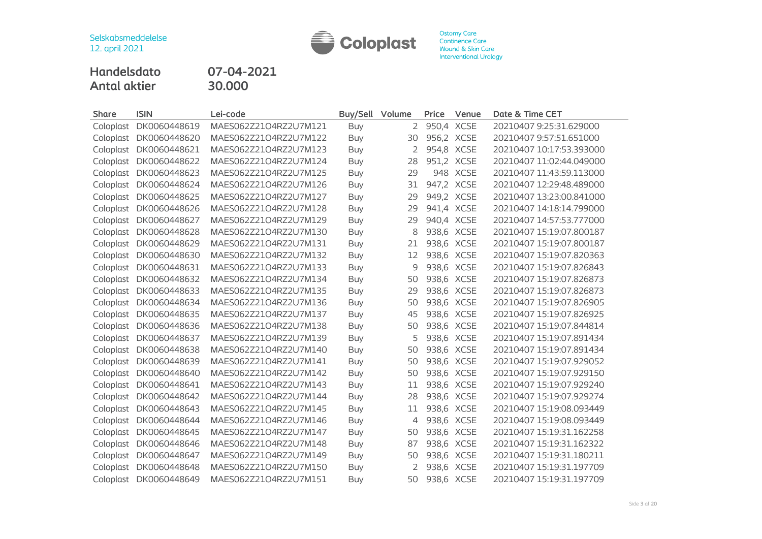

**Handelsdato 07-04-2021 Antal aktier 30.000**

| <b>Share</b> | <b>ISIN</b>  | Lei-code              | Buy/Sell   | Volume | Price      | Venue    | Date & Time CET          |
|--------------|--------------|-----------------------|------------|--------|------------|----------|--------------------------|
| Coloplast    | DK0060448619 | MAES062Z21O4RZ2U7M121 | Buy        | 2      | 950,4 XCSE |          | 20210407 9:25:31.629000  |
| Coloplast    | DK0060448620 | MAES062Z21O4RZ2U7M122 | Buy        | 30     | 956,2 XCSE |          | 20210407 9:57:51.651000  |
| Coloplast    | DK0060448621 | MAES062Z21O4RZ2U7M123 | <b>Buy</b> | 2      | 954,8 XCSE |          | 20210407 10:17:53.393000 |
| Coloplast    | DK0060448622 | MAES062Z21O4RZ2U7M124 | Buy        | 28     | 951,2 XCSE |          | 20210407 11:02:44.049000 |
| Coloplast    | DK0060448623 | MAES062Z21O4RZ2U7M125 | <b>Buy</b> | 29     |            | 948 XCSE | 20210407 11:43:59.113000 |
| Coloplast    | DK0060448624 | MAES062Z21O4RZ2U7M126 | Buy        | 31     | 947,2 XCSE |          | 20210407 12:29:48.489000 |
| Coloplast    | DK0060448625 | MAES062Z21O4RZ2U7M127 | Buy        | 29     | 949,2 XCSE |          | 20210407 13:23:00.841000 |
| Coloplast    | DK0060448626 | MAES062Z21O4RZ2U7M128 | Buy        | 29     | 941,4 XCSE |          | 20210407 14:18:14.799000 |
| Coloplast    | DK0060448627 | MAES062Z21O4RZ2U7M129 | Buy        | 29     | 940,4 XCSE |          | 20210407 14:57:53.777000 |
| Coloplast    | DK0060448628 | MAES062Z21O4RZ2U7M130 | <b>Buy</b> | 8      | 938,6 XCSE |          | 20210407 15:19:07.800187 |
| Coloplast    | DK0060448629 | MAES062Z21O4RZ2U7M131 | <b>Buy</b> | 21     | 938,6 XCSE |          | 20210407 15:19:07.800187 |
| Coloplast    | DK0060448630 | MAES062Z21O4RZ2U7M132 | Buy        | 12     | 938,6 XCSE |          | 20210407 15:19:07.820363 |
| Coloplast    | DK0060448631 | MAES062Z21O4RZ2U7M133 | <b>Buy</b> | 9      | 938,6 XCSE |          | 20210407 15:19:07.826843 |
| Coloplast    | DK0060448632 | MAES062Z21O4RZ2U7M134 | Buy        | 50     | 938,6 XCSE |          | 20210407 15:19:07.826873 |
| Coloplast    | DK0060448633 | MAES062Z21O4RZ2U7M135 | Buy        | 29     | 938,6 XCSE |          | 20210407 15:19:07.826873 |
| Coloplast    | DK0060448634 | MAES062Z21O4RZ2U7M136 | Buy        | 50     | 938,6 XCSE |          | 20210407 15:19:07.826905 |
| Coloplast    | DK0060448635 | MAES062Z21O4RZ2U7M137 | <b>Buy</b> | 45     | 938,6 XCSE |          | 20210407 15:19:07.826925 |
| Coloplast    | DK0060448636 | MAES062Z21O4RZ2U7M138 | Buy        | 50     | 938,6 XCSE |          | 20210407 15:19:07.844814 |
| Coloplast    | DK0060448637 | MAES062Z21O4RZ2U7M139 | <b>Buy</b> | 5      | 938,6 XCSE |          | 20210407 15:19:07.891434 |
| Coloplast    | DK0060448638 | MAES062Z21O4RZ2U7M140 | Buy        | 50     | 938,6 XCSE |          | 20210407 15:19:07.891434 |
| Coloplast    | DK0060448639 | MAES062Z21O4RZ2U7M141 | Buy        | 50     | 938,6 XCSE |          | 20210407 15:19:07.929052 |
| Coloplast    | DK0060448640 | MAES062Z21O4RZ2U7M142 | <b>Buy</b> | 50     | 938,6 XCSE |          | 20210407 15:19:07.929150 |
| Coloplast    | DK0060448641 | MAES062Z21O4RZ2U7M143 | Buy        | 11     | 938,6 XCSE |          | 20210407 15:19:07.929240 |
| Coloplast    | DK0060448642 | MAES062Z21O4RZ2U7M144 | Buy        | 28     | 938,6 XCSE |          | 20210407 15:19:07.929274 |
| Coloplast    | DK0060448643 | MAES062Z21O4RZ2U7M145 | Buy        | 11     | 938,6 XCSE |          | 20210407 15:19:08.093449 |
| Coloplast    | DK0060448644 | MAES062Z21O4RZ2U7M146 | <b>Buy</b> | 4      | 938,6 XCSE |          | 20210407 15:19:08.093449 |
| Coloplast    | DK0060448645 | MAES062Z21O4RZ2U7M147 | Buy        | 50     | 938,6 XCSE |          | 20210407 15:19:31.162258 |
| Coloplast    | DK0060448646 | MAES062Z21O4RZ2U7M148 | Buy        | 87     | 938,6 XCSE |          | 20210407 15:19:31.162322 |
| Coloplast    | DK0060448647 | MAES062Z21O4RZ2U7M149 | Buy        | 50     | 938,6 XCSE |          | 20210407 15:19:31.180211 |
| Coloplast    | DK0060448648 | MAES062Z21O4RZ2U7M150 | Buy        | 2      | 938,6 XCSE |          | 20210407 15:19:31.197709 |
| Coloplast    | DK0060448649 | MAES062Z21O4RZ2U7M151 | Buy        | 50     | 938,6 XCSE |          | 20210407 15:19:31.197709 |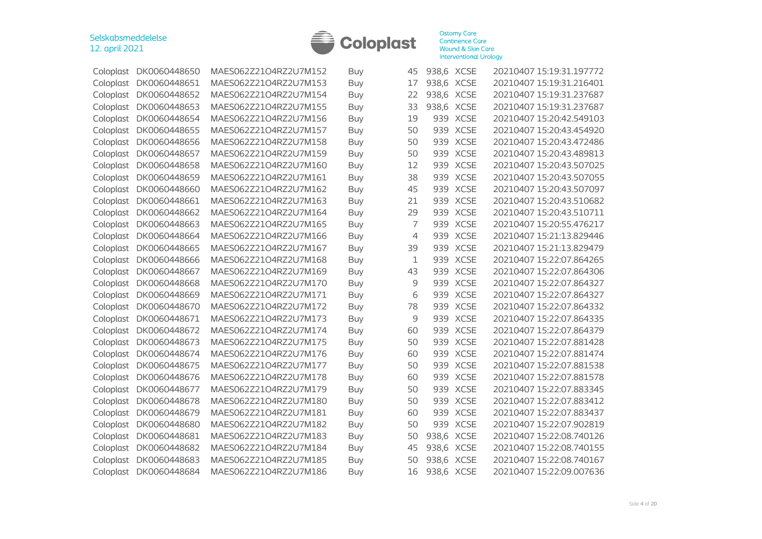

| Coloplast | DK0060448650 | MAES062Z21O4RZ2U7M152 | Buy        | 45 | 938,6 XCSE |             | 20210407 15:19:31.197772 |
|-----------|--------------|-----------------------|------------|----|------------|-------------|--------------------------|
| Coloplast | DK0060448651 | MAES062Z21O4RZ2U7M153 | Buy        | 17 | 938,6 XCSE |             | 20210407 15:19:31.216401 |
| Coloplast | DK0060448652 | MAES062Z21O4RZ2U7M154 | Buy        | 22 | 938,6 XCSE |             | 20210407 15:19:31.237687 |
| Coloplast | DK0060448653 | MAES062Z21O4RZ2U7M155 | Buy        | 33 | 938,6 XCSE |             | 20210407 15:19:31.237687 |
| Coloplast | DK0060448654 | MAES062Z21O4RZ2U7M156 | Buy        | 19 |            | 939 XCSE    | 20210407 15:20:42.549103 |
| Coloplast | DK0060448655 | MAES062Z21O4RZ2U7M157 | Buy        | 50 | 939        | <b>XCSE</b> | 20210407 15:20:43.454920 |
| Coloplast | DK0060448656 | MAES062Z21O4RZ2U7M158 | Buy        | 50 | 939        | <b>XCSE</b> | 20210407 15:20:43.472486 |
| Coloplast | DK0060448657 | MAES062Z21O4RZ2U7M159 | Buy        | 50 | 939        | <b>XCSE</b> | 20210407 15:20:43.489813 |
| Coloplast | DK0060448658 | MAES062Z21O4RZ2U7M160 | Buy        | 12 | 939        | <b>XCSE</b> | 20210407 15:20:43.507025 |
| Coloplast | DK0060448659 | MAES062Z21O4RZ2U7M161 | Buy        | 38 | 939        | <b>XCSE</b> | 20210407 15:20:43.507055 |
| Coloplast | DK0060448660 | MAES062Z21O4RZ2U7M162 | Buy        | 45 | 939        | <b>XCSE</b> | 20210407 15:20:43.507097 |
| Coloplast | DK0060448661 | MAES062Z21O4RZ2U7M163 | Buy        | 21 | 939        | <b>XCSE</b> | 20210407 15:20:43.510682 |
| Coloplast | DK0060448662 | MAES062Z21O4RZ2U7M164 | Buy        | 29 | 939        | <b>XCSE</b> | 20210407 15:20:43.510711 |
| Coloplast | DK0060448663 | MAES062Z21O4RZ2U7M165 | <b>Buy</b> | 7  | 939        | <b>XCSE</b> | 20210407 15:20:55.476217 |
| Coloplast | DK0060448664 | MAES062Z21O4RZ2U7M166 | Buy        | 4  | 939        | <b>XCSE</b> | 20210407 15:21:13.829446 |
| Coloplast | DK0060448665 | MAES062Z21O4RZ2U7M167 | <b>Buy</b> | 39 | 939        | <b>XCSE</b> | 20210407 15:21:13.829479 |
| Coloplast | DK0060448666 | MAES062Z21O4RZ2U7M168 | Buy        | 1  | 939        | <b>XCSE</b> | 20210407 15:22:07.864265 |
| Coloplast | DK0060448667 | MAES062Z21O4RZ2U7M169 | Buy        | 43 |            | 939 XCSE    | 20210407 15:22:07.864306 |
| Coloplast | DK0060448668 | MAES062Z21O4RZ2U7M170 | Buy        | 9  |            | 939 XCSE    | 20210407 15:22:07.864327 |
| Coloplast | DK0060448669 | MAES062Z21O4RZ2U7M171 | Buy        | 6  | 939        | <b>XCSE</b> | 20210407 15:22:07.864327 |
| Coloplast | DK0060448670 | MAES062Z21O4RZ2U7M172 | Buy        | 78 | 939        | <b>XCSE</b> | 20210407 15:22:07.864332 |
| Coloplast | DK0060448671 | MAES062Z21O4RZ2U7M173 | Buy        | 9  | 939        | <b>XCSE</b> | 20210407 15:22:07.864335 |
| Coloplast | DK0060448672 | MAES062Z21O4RZ2U7M174 | Buy        | 60 | 939        | <b>XCSE</b> | 20210407 15:22:07.864379 |
| Coloplast | DK0060448673 | MAES062Z21O4RZ2U7M175 | Buy        | 50 | 939        | <b>XCSE</b> | 20210407 15:22:07.881428 |
| Coloplast | DK0060448674 | MAES062Z21O4RZ2U7M176 | Buy        | 60 | 939        | <b>XCSE</b> | 20210407 15:22:07.881474 |
| Coloplast | DK0060448675 | MAES062Z21O4RZ2U7M177 | <b>Buy</b> | 50 | 939        | <b>XCSE</b> | 20210407 15:22:07.881538 |
| Coloplast | DK0060448676 | MAES062Z21O4RZ2U7M178 | Buy        | 60 | 939        | <b>XCSE</b> | 20210407 15:22:07.881578 |
| Coloplast | DK0060448677 | MAES062Z21O4RZ2U7M179 | <b>Buy</b> | 50 | 939        | <b>XCSE</b> | 20210407 15:22:07.883345 |
| Coloplast | DK0060448678 | MAES062Z21O4RZ2U7M180 | Buy        | 50 | 939        | <b>XCSE</b> | 20210407 15:22:07.883412 |
| Coloplast | DK0060448679 | MAES062Z21O4RZ2U7M181 | <b>Buy</b> | 60 | 939        | <b>XCSE</b> | 20210407 15:22:07.883437 |
| Coloplast | DK0060448680 | MAES062Z21O4RZ2U7M182 | Buy        | 50 | 939        | <b>XCSE</b> | 20210407 15:22:07.902819 |
| Coloplast | DK0060448681 | MAES062Z21O4RZ2U7M183 | Buy        | 50 | 938,6 XCSE |             | 20210407 15:22:08.740126 |
| Coloplast | DK0060448682 | MAES062Z21O4RZ2U7M184 | Buy        | 45 | 938,6 XCSE |             | 20210407 15:22:08.740155 |
| Coloplast | DK0060448683 | MAES062Z21O4RZ2U7M185 | Buy        | 50 | 938,6 XCSE |             | 20210407 15:22:08.740167 |
| Coloplast | DK0060448684 | MAES062Z21O4RZ2U7M186 | Buy        | 16 | 938,6 XCSE |             | 20210407 15:22:09.007636 |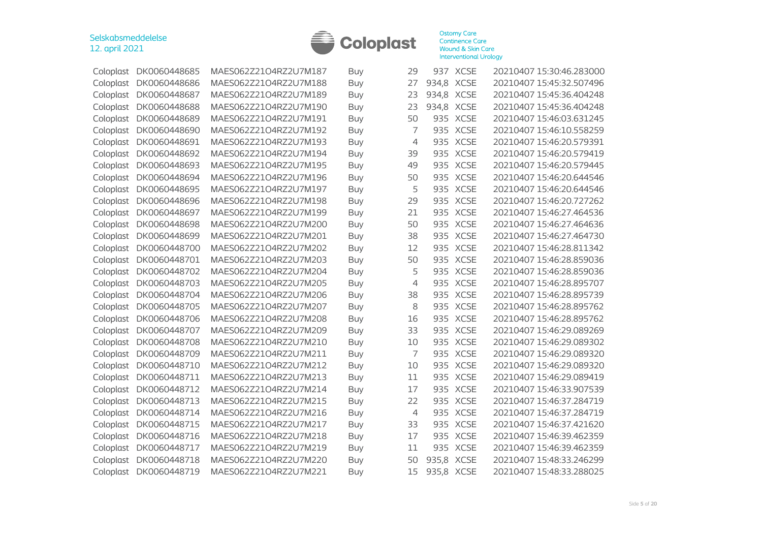

| Coloplast | DK0060448685 | MAES062Z21O4RZ2U7M187 | Buy        | 29             |            | 937 XCSE    | 20210407 15:30:46.283000 |
|-----------|--------------|-----------------------|------------|----------------|------------|-------------|--------------------------|
| Coloplast | DK0060448686 | MAES062Z21O4RZ2U7M188 | Buy        | 27             | 934,8 XCSE |             | 20210407 15:45:32.507496 |
| Coloplast | DK0060448687 | MAES062Z21O4RZ2U7M189 | <b>Buy</b> | 23             | 934,8 XCSE |             | 20210407 15:45:36.404248 |
| Coloplast | DK0060448688 | MAES062Z21O4RZ2U7M190 | Buy        | 23             | 934,8      | <b>XCSE</b> | 20210407 15:45:36.404248 |
| Coloplast | DK0060448689 | MAES062Z21O4RZ2U7M191 | <b>Buy</b> | 50             | 935        | <b>XCSE</b> | 20210407 15:46:03.631245 |
| Coloplast | DK0060448690 | MAES062Z21O4RZ2U7M192 | Buy        | 7              | 935        | <b>XCSE</b> | 20210407 15:46:10.558259 |
| Coloplast | DK0060448691 | MAES062Z21O4RZ2U7M193 | Buy        | 4              | 935        | <b>XCSE</b> | 20210407 15:46:20.579391 |
| Coloplast | DK0060448692 | MAES062Z21O4RZ2U7M194 | <b>Buy</b> | 39             | 935        | <b>XCSE</b> | 20210407 15:46:20.579419 |
| Coloplast | DK0060448693 | MAES062Z21O4RZ2U7M195 | Buy        | 49             | 935        | <b>XCSE</b> | 20210407 15:46:20.579445 |
| Coloplast | DK0060448694 | MAES062Z21O4RZ2U7M196 | Buy        | 50             | 935        | <b>XCSE</b> | 20210407 15:46:20.644546 |
| Coloplast | DK0060448695 | MAES062Z21O4RZ2U7M197 | <b>Buy</b> | 5              | 935        | <b>XCSE</b> | 20210407 15:46:20.644546 |
| Coloplast | DK0060448696 | MAES062Z21O4RZ2U7M198 | <b>Buy</b> | 29             | 935        | <b>XCSE</b> | 20210407 15:46:20.727262 |
| Coloplast | DK0060448697 | MAES062Z21O4RZ2U7M199 | <b>Buy</b> | 21             | 935        | <b>XCSE</b> | 20210407 15:46:27.464536 |
| Coloplast | DK0060448698 | MAES062Z21O4RZ2U7M200 | <b>Buy</b> | 50             | 935        | <b>XCSE</b> | 20210407 15:46:27.464636 |
| Coloplast | DK0060448699 | MAES062Z21O4RZ2U7M201 | Buy        | 38             | 935        | <b>XCSE</b> | 20210407 15:46:27.464730 |
| Coloplast | DK0060448700 | MAES062Z21O4RZ2U7M202 | <b>Buy</b> | 12             | 935        | <b>XCSE</b> | 20210407 15:46:28.811342 |
| Coloplast | DK0060448701 | MAES062Z21O4RZ2U7M203 | Buy        | 50             |            | 935 XCSE    | 20210407 15:46:28.859036 |
| Coloplast | DK0060448702 | MAES062Z21O4RZ2U7M204 | Buy        | 5              |            | 935 XCSE    | 20210407 15:46:28.859036 |
| Coloplast | DK0060448703 | MAES062Z21O4RZ2U7M205 | Buy        | 4              | 935        | <b>XCSE</b> | 20210407 15:46:28.895707 |
| Coloplast | DK0060448704 | MAES062Z21O4RZ2U7M206 | <b>Buy</b> | 38             | 935        | <b>XCSE</b> | 20210407 15:46:28.895739 |
| Coloplast | DK0060448705 | MAES062Z21O4RZ2U7M207 | Buy        | 8              | 935        | <b>XCSE</b> | 20210407 15:46:28.895762 |
| Coloplast | DK0060448706 | MAES062Z21O4RZ2U7M208 | <b>Buy</b> | 16             | 935        | <b>XCSE</b> | 20210407 15:46:28.895762 |
| Coloplast | DK0060448707 | MAES062Z21O4RZ2U7M209 | <b>Buy</b> | 33             | 935        | <b>XCSE</b> | 20210407 15:46:29.089269 |
| Coloplast | DK0060448708 | MAES062Z21O4RZ2U7M210 | <b>Buy</b> | 10             | 935        | <b>XCSE</b> | 20210407 15:46:29.089302 |
| Coloplast | DK0060448709 | MAES062Z21O4RZ2U7M211 | Buy        | 7              |            | 935 XCSE    | 20210407 15:46:29.089320 |
| Coloplast | DK0060448710 | MAES062Z21O4RZ2U7M212 | <b>Buy</b> | 10             | 935        | <b>XCSE</b> | 20210407 15:46:29.089320 |
| Coloplast | DK0060448711 | MAES062Z21O4RZ2U7M213 | <b>Buy</b> | 11             | 935        | <b>XCSE</b> | 20210407 15:46:29.089419 |
| Coloplast | DK0060448712 | MAES062Z21O4RZ2U7M214 | <b>Buy</b> | 17             | 935        | <b>XCSE</b> | 20210407 15:46:33.907539 |
| Coloplast | DK0060448713 | MAES062Z21O4RZ2U7M215 | <b>Buy</b> | 22             | 935        | <b>XCSE</b> | 20210407 15:46:37.284719 |
| Coloplast | DK0060448714 | MAES062Z21O4RZ2U7M216 | <b>Buy</b> | $\overline{4}$ | 935        | <b>XCSE</b> | 20210407 15:46:37.284719 |
| Coloplast | DK0060448715 | MAES062Z21O4RZ2U7M217 | <b>Buy</b> | 33             | 935        | <b>XCSE</b> | 20210407 15:46:37.421620 |
| Coloplast | DK0060448716 | MAES062Z21O4RZ2U7M218 | <b>Buy</b> | 17             |            | 935 XCSE    | 20210407 15:46:39.462359 |
| Coloplast | DK0060448717 | MAES062Z21O4RZ2U7M219 | <b>Buy</b> | 11             |            | 935 XCSE    | 20210407 15:46:39.462359 |
| Coloplast | DK0060448718 | MAES062Z21O4RZ2U7M220 | <b>Buy</b> | 50             | 935,8 XCSE |             | 20210407 15:48:33.246299 |
| Coloplast | DK0060448719 | MAES062Z21O4RZ2U7M221 | Buy        | 15             | 935,8 XCSE |             | 20210407 15:48:33.288025 |
|           |              |                       |            |                |            |             |                          |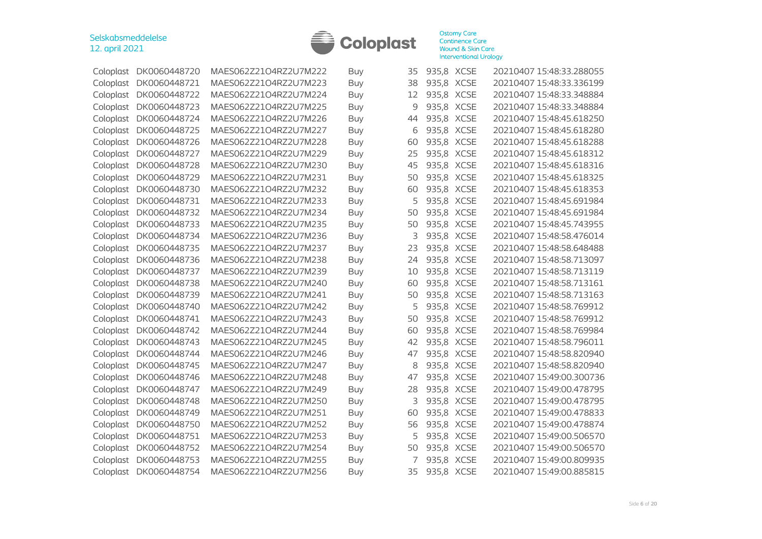

|           | Coloplast DK0060448720 | MAES062Z21O4RZ2U7M222 | Buy        | 35 | 935,8 XCSE | 20210407 15:48:33.288055 |
|-----------|------------------------|-----------------------|------------|----|------------|--------------------------|
| Coloplast | DK0060448721           | MAES062Z21O4RZ2U7M223 | Buy        | 38 | 935,8 XCSE | 20210407 15:48:33.336199 |
| Coloplast | DK0060448722           | MAES062Z21O4RZ2U7M224 | Buy        | 12 | 935,8 XCSE | 20210407 15:48:33.348884 |
| Coloplast | DK0060448723           | MAES062Z21O4RZ2U7M225 | Buy        | 9  | 935,8 XCSE | 20210407 15:48:33.348884 |
| Coloplast | DK0060448724           | MAES062Z21O4RZ2U7M226 | <b>Buy</b> | 44 | 935,8 XCSE | 20210407 15:48:45.618250 |
| Coloplast | DK0060448725           | MAES062Z21O4RZ2U7M227 | Buy        | 6  | 935,8 XCSE | 20210407 15:48:45.618280 |
| Coloplast | DK0060448726           | MAES062Z21O4RZ2U7M228 | Buy        | 60 | 935,8 XCSE | 20210407 15:48:45.618288 |
| Coloplast | DK0060448727           | MAES062Z21O4RZ2U7M229 | <b>Buy</b> | 25 | 935,8 XCSE | 20210407 15:48:45.618312 |
| Coloplast | DK0060448728           | MAES062Z21O4RZ2U7M230 | Buy        | 45 | 935,8 XCSE | 20210407 15:48:45.618316 |
| Coloplast | DK0060448729           | MAES062Z21O4RZ2U7M231 | Buy        | 50 | 935,8 XCSE | 20210407 15:48:45.618325 |
| Coloplast | DK0060448730           | MAES062Z21O4RZ2U7M232 | <b>Buy</b> | 60 | 935,8 XCSE | 20210407 15:48:45.618353 |
| Coloplast | DK0060448731           | MAES062Z21O4RZ2U7M233 | Buy        | 5  | 935,8 XCSE | 20210407 15:48:45.691984 |
| Coloplast | DK0060448732           | MAES062Z21O4RZ2U7M234 | <b>Buy</b> | 50 | 935,8 XCSE | 20210407 15:48:45.691984 |
| Coloplast | DK0060448733           | MAES062Z21O4RZ2U7M235 | <b>Buy</b> | 50 | 935,8 XCSE | 20210407 15:48:45.743955 |
| Coloplast | DK0060448734           | MAES062Z21O4RZ2U7M236 | Buy        | 3  | 935,8 XCSE | 20210407 15:48:58.476014 |
| Coloplast | DK0060448735           | MAES062Z21O4RZ2U7M237 | Buy        | 23 | 935,8 XCSE | 20210407 15:48:58.648488 |
| Coloplast | DK0060448736           | MAES062Z21O4RZ2U7M238 | Buy        | 24 | 935,8 XCSE | 20210407 15:48:58.713097 |
| Coloplast | DK0060448737           | MAES062Z21O4RZ2U7M239 | Buy        | 10 | 935,8 XCSE | 20210407 15:48:58.713119 |
| Coloplast | DK0060448738           | MAES062Z21O4RZ2U7M240 | Buy        | 60 | 935,8 XCSE | 20210407 15:48:58.713161 |
| Coloplast | DK0060448739           | MAES062Z21O4RZ2U7M241 | <b>Buy</b> | 50 | 935,8 XCSE | 20210407 15:48:58.713163 |
| Coloplast | DK0060448740           | MAES062Z21O4RZ2U7M242 | Buy        | 5  | 935,8 XCSE | 20210407 15:48:58.769912 |
| Coloplast | DK0060448741           | MAES062Z21O4RZ2U7M243 | <b>Buy</b> | 50 | 935,8 XCSE | 20210407 15:48:58.769912 |
| Coloplast | DK0060448742           | MAES062Z21O4RZ2U7M244 | <b>Buy</b> | 60 | 935,8 XCSE | 20210407 15:48:58.769984 |
| Coloplast | DK0060448743           | MAES062Z21O4RZ2U7M245 | Buy        | 42 | 935,8 XCSE | 20210407 15:48:58.796011 |
| Coloplast | DK0060448744           | MAES062Z21O4RZ2U7M246 | Buy        | 47 | 935,8 XCSE | 20210407 15:48:58.820940 |
| Coloplast | DK0060448745           | MAES062Z21O4RZ2U7M247 | Buy        | 8  | 935,8 XCSE | 20210407 15:48:58.820940 |
| Coloplast | DK0060448746           | MAES062Z21O4RZ2U7M248 | Buy        | 47 | 935,8 XCSE | 20210407 15:49:00.300736 |
| Coloplast | DK0060448747           | MAES062Z21O4RZ2U7M249 | <b>Buy</b> | 28 | 935,8 XCSE | 20210407 15:49:00.478795 |
| Coloplast | DK0060448748           | MAES062Z21O4RZ2U7M250 | Buy        | 3  | 935,8 XCSE | 20210407 15:49:00.478795 |
| Coloplast | DK0060448749           | MAES062Z21O4RZ2U7M251 | <b>Buy</b> | 60 | 935,8 XCSE | 20210407 15:49:00.478833 |
| Coloplast | DK0060448750           | MAES062Z21O4RZ2U7M252 | <b>Buy</b> | 56 | 935,8 XCSE | 20210407 15:49:00.478874 |
| Coloplast | DK0060448751           | MAES062Z21O4RZ2U7M253 | Buy        | 5  | 935,8 XCSE | 20210407 15:49:00.506570 |
| Coloplast | DK0060448752           | MAES062Z21O4RZ2U7M254 | Buy        | 50 | 935,8 XCSE | 20210407 15:49:00.506570 |
| Coloplast | DK0060448753           | MAES062Z21O4RZ2U7M255 | Buy        | 7  | 935,8 XCSE | 20210407 15:49:00.809935 |
| Coloplast | DK0060448754           | MAES062Z21O4RZ2U7M256 | Buy        | 35 | 935,8 XCSE | 20210407 15:49:00.885815 |
|           |                        |                       |            |    |            |                          |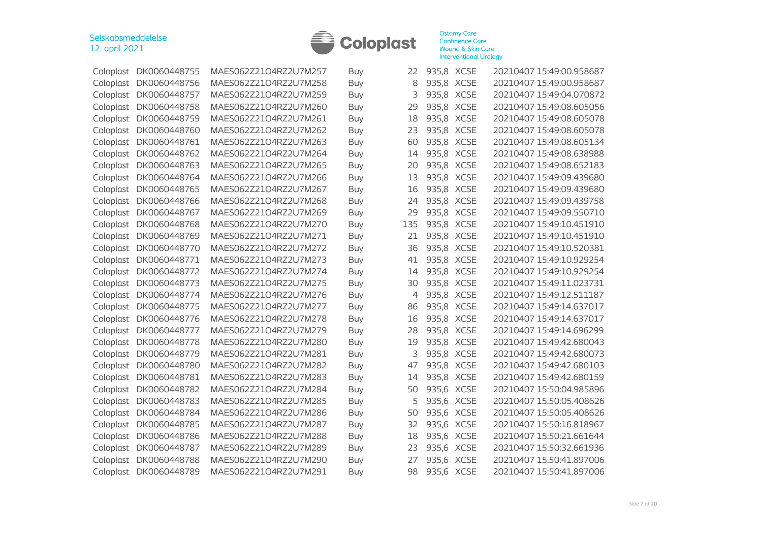

| Coloplast | DK0060448755 | MAES062Z21O4RZ2U7M257 | <b>Buy</b> | 22  | 935,8 XCSE | 20210407 15:49:00.958687 |
|-----------|--------------|-----------------------|------------|-----|------------|--------------------------|
| Coloplast | DK0060448756 | MAES062Z21O4RZ2U7M258 | <b>Buy</b> | 8   | 935,8 XCSE | 20210407 15:49:00.958687 |
| Coloplast | DK0060448757 | MAES062Z21O4RZ2U7M259 | <b>Buy</b> | 3   | 935,8 XCSE | 20210407 15:49:04.070872 |
| Coloplast | DK0060448758 | MAES062Z21O4RZ2U7M260 | Buy        | 29  | 935,8 XCSE | 20210407 15:49:08.605056 |
| Coloplast | DK0060448759 | MAES062Z21O4RZ2U7M261 | <b>Buy</b> | 18  | 935,8 XCSE | 20210407 15:49:08.605078 |
| Coloplast | DK0060448760 | MAES062Z21O4RZ2U7M262 | <b>Buy</b> | 23  | 935,8 XCSE | 20210407 15:49:08.605078 |
| Coloplast | DK0060448761 | MAES062Z21O4RZ2U7M263 | <b>Buy</b> | 60  | 935,8 XCSE | 20210407 15:49:08.605134 |
| Coloplast | DK0060448762 | MAES062Z21O4RZ2U7M264 | <b>Buy</b> | 14  | 935,8 XCSE | 20210407 15:49:08.638988 |
| Coloplast | DK0060448763 | MAES062Z21O4RZ2U7M265 | <b>Buy</b> | 20  | 935,8 XCSE | 20210407 15:49:08.652183 |
| Coloplast | DK0060448764 | MAES062Z21O4RZ2U7M266 | <b>Buy</b> | 13  | 935,8 XCSE | 20210407 15:49:09.439680 |
| Coloplast | DK0060448765 | MAES062Z21O4RZ2U7M267 | <b>Buy</b> | 16  | 935,8 XCSE | 20210407 15:49:09.439680 |
| Coloplast | DK0060448766 | MAES062Z21O4RZ2U7M268 | <b>Buy</b> | 24  | 935,8 XCSE | 20210407 15:49:09.439758 |
| Coloplast | DK0060448767 | MAES062Z21O4RZ2U7M269 | <b>Buy</b> | 29  | 935,8 XCSE | 20210407 15:49:09.550710 |
| Coloplast | DK0060448768 | MAES062Z21O4RZ2U7M270 | <b>Buy</b> | 135 | 935,8 XCSE | 20210407 15:49:10.451910 |
| Coloplast | DK0060448769 | MAES062Z21O4RZ2U7M271 | <b>Buy</b> | 21  | 935,8 XCSE | 20210407 15:49:10.451910 |
| Coloplast | DK0060448770 | MAES062Z21O4RZ2U7M272 | <b>Buy</b> | 36  | 935,8 XCSE | 20210407 15:49:10.520381 |
| Coloplast | DK0060448771 | MAES062Z21O4RZ2U7M273 | Buy        | 41  | 935,8 XCSE | 20210407 15:49:10.929254 |
| Coloplast | DK0060448772 | MAES062Z21O4RZ2U7M274 | <b>Buy</b> | 14  | 935,8 XCSE | 20210407 15:49:10.929254 |
| Coloplast | DK0060448773 | MAES062Z21O4RZ2U7M275 | Buy        | 30  | 935,8 XCSE | 20210407 15:49:11.023731 |
| Coloplast | DK0060448774 | MAES062Z21O4RZ2U7M276 | <b>Buy</b> | 4   | 935,8 XCSE | 20210407 15:49:12.511187 |
| Coloplast | DK0060448775 | MAES062Z21O4RZ2U7M277 | <b>Buy</b> | 86  | 935,8 XCSE | 20210407 15:49:14.637017 |
| Coloplast | DK0060448776 | MAES062Z21O4RZ2U7M278 | <b>Buy</b> | 16  | 935,8 XCSE | 20210407 15:49:14.637017 |
| Coloplast | DK0060448777 | MAES062Z21O4RZ2U7M279 | <b>Buy</b> | 28  | 935,8 XCSE | 20210407 15:49:14.696299 |
| Coloplast | DK0060448778 | MAES062Z21O4RZ2U7M280 | <b>Buy</b> | 19  | 935,8 XCSE | 20210407 15:49:42.680043 |
| Coloplast | DK0060448779 | MAES062Z21O4RZ2U7M281 | <b>Buy</b> | 3   | 935,8 XCSE | 20210407 15:49:42.680073 |
| Coloplast | DK0060448780 | MAES062Z21O4RZ2U7M282 | <b>Buy</b> | 47  | 935,8 XCSE | 20210407 15:49:42.680103 |
| Coloplast | DK0060448781 | MAES062Z21O4RZ2U7M283 | <b>Buy</b> | 14  | 935,8 XCSE | 20210407 15:49:42.680159 |
| Coloplast | DK0060448782 | MAES062Z21O4RZ2U7M284 | <b>Buy</b> | 50  | 935,6 XCSE | 20210407 15:50:04.985896 |
| Coloplast | DK0060448783 | MAES062Z21O4RZ2U7M285 | <b>Buy</b> | 5   | 935,6 XCSE | 20210407 15:50:05.408626 |
| Coloplast | DK0060448784 | MAES062Z21O4RZ2U7M286 | <b>Buy</b> | 50  | 935,6 XCSE | 20210407 15:50:05.408626 |
| Coloplast | DK0060448785 | MAES062Z21O4RZ2U7M287 | <b>Buy</b> | 32  | 935,6 XCSE | 20210407 15:50:16.818967 |
| Coloplast | DK0060448786 | MAES062Z21O4RZ2U7M288 | <b>Buy</b> | 18  | 935,6 XCSE | 20210407 15:50:21.661644 |
| Coloplast | DK0060448787 | MAES062Z21O4RZ2U7M289 | <b>Buy</b> | 23  | 935,6 XCSE | 20210407 15:50:32.661936 |
| Coloplast | DK0060448788 | MAES062Z21O4RZ2U7M290 | <b>Buy</b> | 27  | 935,6 XCSE | 20210407 15:50:41.897006 |
| Coloplast | DK0060448789 | MAES062Z21O4RZ2U7M291 | Buy        | 98  | 935,6 XCSE | 20210407 15:50:41.897006 |
|           |              |                       |            |     |            |                          |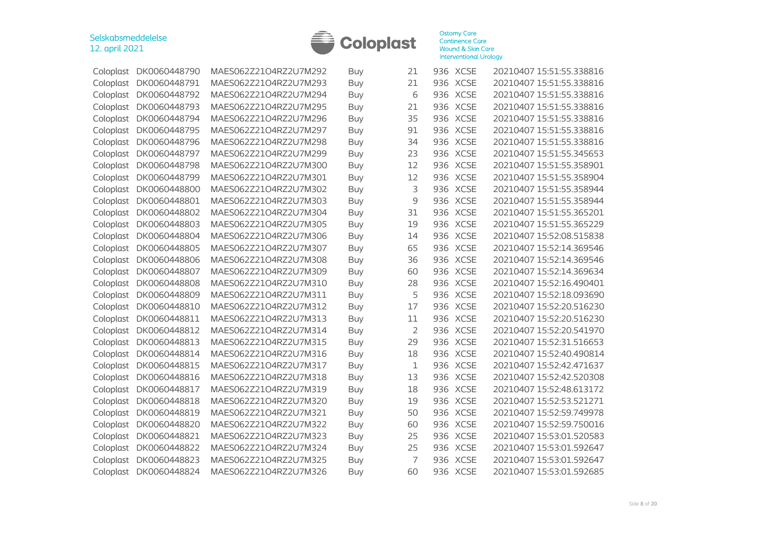

|           | Coloplast DK0060448790 | MAES062Z21O4RZ2U7M292 | Buy        | 21             |     | 936 XCSE    | 20210407 15:51:55.338816 |
|-----------|------------------------|-----------------------|------------|----------------|-----|-------------|--------------------------|
| Coloplast | DK0060448791           | MAES062Z21O4RZ2U7M293 | Buy        | 21             |     | 936 XCSE    | 20210407 15:51:55.338816 |
| Coloplast | DK0060448792           | MAES062Z21O4RZ2U7M294 | Buy        | 6              | 936 | <b>XCSE</b> | 20210407 15:51:55.338816 |
| Coloplast | DK0060448793           | MAES062Z21O4RZ2U7M295 | Buy        | 21             | 936 | <b>XCSE</b> | 20210407 15:51:55.338816 |
| Coloplast | DK0060448794           | MAES062Z21O4RZ2U7M296 | <b>Buy</b> | 35             | 936 | <b>XCSE</b> | 20210407 15:51:55.338816 |
| Coloplast | DK0060448795           | MAES062Z21O4RZ2U7M297 | <b>Buy</b> | 91             | 936 | <b>XCSE</b> | 20210407 15:51:55.338816 |
| Coloplast | DK0060448796           | MAES062Z21O4RZ2U7M298 | <b>Buy</b> | 34             | 936 | <b>XCSE</b> | 20210407 15:51:55.338816 |
| Coloplast | DK0060448797           | MAES062Z21O4RZ2U7M299 | Buy        | 23             | 936 | <b>XCSE</b> | 20210407 15:51:55.345653 |
| Coloplast | DK0060448798           | MAES062Z21O4RZ2U7M300 | <b>Buy</b> | 12             | 936 | <b>XCSE</b> | 20210407 15:51:55.358901 |
| Coloplast | DK0060448799           | MAES062Z21O4RZ2U7M301 | <b>Buy</b> | 12             | 936 | <b>XCSE</b> | 20210407 15:51:55.358904 |
| Coloplast | DK0060448800           | MAES062Z21O4RZ2U7M302 | Buy        | 3              | 936 | <b>XCSE</b> | 20210407 15:51:55.358944 |
| Coloplast | DK0060448801           | MAES062Z21O4RZ2U7M303 | <b>Buy</b> | 9              | 936 | <b>XCSE</b> | 20210407 15:51:55.358944 |
| Coloplast | DK0060448802           | MAES062Z21O4RZ2U7M304 | <b>Buy</b> | 31             | 936 | <b>XCSE</b> | 20210407 15:51:55.365201 |
| Coloplast | DK0060448803           | MAES062Z21O4RZ2U7M305 | <b>Buy</b> | 19             | 936 | <b>XCSE</b> | 20210407 15:51:55.365229 |
| Coloplast | DK0060448804           | MAES062Z21O4RZ2U7M306 | <b>Buy</b> | 14             | 936 | <b>XCSE</b> | 20210407 15:52:08.515838 |
| Coloplast | DK0060448805           | MAES062Z21O4RZ2U7M307 | Buy        | 65             | 936 | <b>XCSE</b> | 20210407 15:52:14.369546 |
| Coloplast | DK0060448806           | MAES062Z21O4RZ2U7M308 | Buy        | 36             |     | 936 XCSE    | 20210407 15:52:14.369546 |
| Coloplast | DK0060448807           | MAES062Z21O4RZ2U7M309 | Buy        | 60             |     | 936 XCSE    | 20210407 15:52:14.369634 |
| Coloplast | DK0060448808           | MAES062Z21O4RZ2U7M310 | Buy        | 28             | 936 | <b>XCSE</b> | 20210407 15:52:16.490401 |
| Coloplast | DK0060448809           | MAES062Z21O4RZ2U7M311 | <b>Buy</b> | 5              | 936 | <b>XCSE</b> | 20210407 15:52:18.093690 |
| Coloplast | DK0060448810           | MAES062Z21O4RZ2U7M312 | <b>Buy</b> | 17             | 936 | <b>XCSE</b> | 20210407 15:52:20.516230 |
| Coloplast | DK0060448811           | MAES062Z21O4RZ2U7M313 | Buy        | 11             | 936 | <b>XCSE</b> | 20210407 15:52:20.516230 |
| Coloplast | DK0060448812           | MAES062Z21O4RZ2U7M314 | <b>Buy</b> | $\overline{2}$ | 936 | <b>XCSE</b> | 20210407 15:52:20.541970 |
| Coloplast | DK0060448813           | MAES062Z21O4RZ2U7M315 | Buy        | 29             | 936 | <b>XCSE</b> | 20210407 15:52:31.516653 |
| Coloplast | DK0060448814           | MAES062Z21O4RZ2U7M316 | Buy        | 18             |     | 936 XCSE    | 20210407 15:52:40.490814 |
| Coloplast | DK0060448815           | MAES062Z21O4RZ2U7M317 | <b>Buy</b> | $1\,$          | 936 | <b>XCSE</b> | 20210407 15:52:42.471637 |
| Coloplast | DK0060448816           | MAES062Z21O4RZ2U7M318 | Buy        | 13             | 936 | <b>XCSE</b> | 20210407 15:52:42.520308 |
| Coloplast | DK0060448817           | MAES062Z21O4RZ2U7M319 | <b>Buy</b> | 18             | 936 | <b>XCSE</b> | 20210407 15:52:48.613172 |
| Coloplast | DK0060448818           | MAES062Z21O4RZ2U7M320 | <b>Buy</b> | 19             | 936 | <b>XCSE</b> | 20210407 15:52:53.521271 |
| Coloplast | DK0060448819           | MAES062Z21O4RZ2U7M321 | <b>Buy</b> | 50             | 936 | <b>XCSE</b> | 20210407 15:52:59.749978 |
| Coloplast | DK0060448820           | MAES062Z21O4RZ2U7M322 | <b>Buy</b> | 60             | 936 | <b>XCSE</b> | 20210407 15:52:59.750016 |
| Coloplast | DK0060448821           | MAES062Z21O4RZ2U7M323 | Buy        | 25             | 936 | <b>XCSE</b> | 20210407 15:53:01.520583 |
| Coloplast | DK0060448822           | MAES062Z21O4RZ2U7M324 | Buy        | 25             |     | 936 XCSE    | 20210407 15:53:01.592647 |
| Coloplast | DK0060448823           | MAES062Z21O4RZ2U7M325 | <b>Buy</b> | 7              | 936 | <b>XCSE</b> | 20210407 15:53:01.592647 |
| Coloplast | DK0060448824           | MAES062Z21O4RZ2U7M326 | <b>Buy</b> | 60             |     | 936 XCSE    | 20210407 15:53:01.592685 |
|           |                        |                       |            |                |     |             |                          |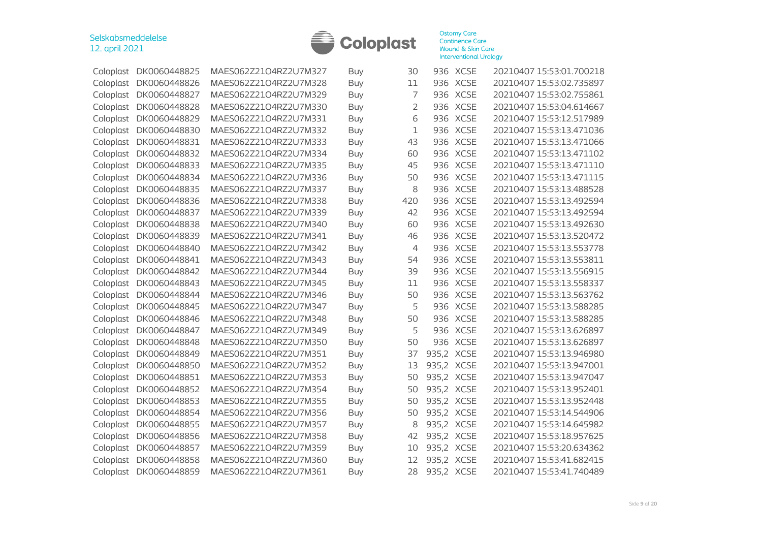

| Coloplast | DK0060448825 | MAES062Z21O4RZ2U7M327 | <b>Buy</b> | 30             |            | 936 XCSE    | 20210407 15:53:01.700218 |
|-----------|--------------|-----------------------|------------|----------------|------------|-------------|--------------------------|
| Coloplast | DK0060448826 | MAES062Z21O4RZ2U7M328 | Buy        | 11             |            | 936 XCSE    | 20210407 15:53:02.735897 |
| Coloplast | DK0060448827 | MAES062Z21O4RZ2U7M329 | Buy        | 7              |            | 936 XCSE    | 20210407 15:53:02.755861 |
| Coloplast | DK0060448828 | MAES062Z21O4RZ2U7M330 | Buy        | $\overline{2}$ | 936        | <b>XCSE</b> | 20210407 15:53:04.614667 |
| Coloplast | DK0060448829 | MAES062Z21O4RZ2U7M331 | Buy        | 6              | 936        | <b>XCSE</b> | 20210407 15:53:12.517989 |
| Coloplast | DK0060448830 | MAES062Z21O4RZ2U7M332 | Buy        | $\mathbf 1$    | 936        | <b>XCSE</b> | 20210407 15:53:13.471036 |
| Coloplast | DK0060448831 | MAES062Z21O4RZ2U7M333 | <b>Buy</b> | 43             | 936        | <b>XCSE</b> | 20210407 15:53:13.471066 |
| Coloplast | DK0060448832 | MAES062Z21O4RZ2U7M334 | Buy        | 60             | 936        | <b>XCSE</b> | 20210407 15:53:13.471102 |
| Coloplast | DK0060448833 | MAES062Z21O4RZ2U7M335 | <b>Buy</b> | 45             | 936        | <b>XCSE</b> | 20210407 15:53:13.471110 |
| Coloplast | DK0060448834 | MAES062Z21O4RZ2U7M336 | Buy        | 50             |            | 936 XCSE    | 20210407 15:53:13.471115 |
| Coloplast | DK0060448835 | MAES062Z21O4RZ2U7M337 | <b>Buy</b> | 8              | 936        | <b>XCSE</b> | 20210407 15:53:13.488528 |
| Coloplast | DK0060448836 | MAES062Z21O4RZ2U7M338 | Buy        | 420            | 936        | <b>XCSE</b> | 20210407 15:53:13.492594 |
| Coloplast | DK0060448837 | MAES062Z21O4RZ2U7M339 | <b>Buy</b> | 42             | 936        | <b>XCSE</b> | 20210407 15:53:13.492594 |
| Coloplast | DK0060448838 | MAES062Z21O4RZ2U7M340 | Buy        | 60             | 936        | <b>XCSE</b> | 20210407 15:53:13.492630 |
| Coloplast | DK0060448839 | MAES062Z21O4RZ2U7M341 | <b>Buy</b> | 46             | 936        | <b>XCSE</b> | 20210407 15:53:13.520472 |
| Coloplast | DK0060448840 | MAES062Z21O4RZ2U7M342 | Buy        | 4              | 936        | <b>XCSE</b> | 20210407 15:53:13.553778 |
| Coloplast | DK0060448841 | MAES062Z21O4RZ2U7M343 | Buy        | 54             |            | 936 XCSE    | 20210407 15:53:13.553811 |
| Coloplast | DK0060448842 | MAES062Z21O4RZ2U7M344 | Buy        | 39             |            | 936 XCSE    | 20210407 15:53:13.556915 |
| Coloplast | DK0060448843 | MAES062Z21O4RZ2U7M345 | <b>Buy</b> | 11             | 936        | <b>XCSE</b> | 20210407 15:53:13.558337 |
| Coloplast | DK0060448844 | MAES062Z21O4RZ2U7M346 | Buy        | 50             | 936        | <b>XCSE</b> | 20210407 15:53:13.563762 |
| Coloplast | DK0060448845 | MAES062Z21O4RZ2U7M347 | Buy        | 5              | 936        | <b>XCSE</b> | 20210407 15:53:13.588285 |
| Coloplast | DK0060448846 | MAES062Z21O4RZ2U7M348 | <b>Buy</b> | 50             | 936        | <b>XCSE</b> | 20210407 15:53:13.588285 |
| Coloplast | DK0060448847 | MAES062Z21O4RZ2U7M349 | Buy        | 5              | 936        | <b>XCSE</b> | 20210407 15:53:13.626897 |
| Coloplast | DK0060448848 | MAES062Z21O4RZ2U7M350 | <b>Buy</b> | 50             |            | 936 XCSE    | 20210407 15:53:13.626897 |
| Coloplast | DK0060448849 | MAES062Z21O4RZ2U7M351 | <b>Buy</b> | 37             | 935,2 XCSE |             | 20210407 15:53:13.946980 |
| Coloplast | DK0060448850 | MAES062Z21O4RZ2U7M352 | Buy        | 13             | 935,2 XCSE |             | 20210407 15:53:13.947001 |
| Coloplast | DK0060448851 | MAES062Z21O4RZ2U7M353 | <b>Buy</b> | 50             | 935,2 XCSE |             | 20210407 15:53:13.947047 |
| Coloplast | DK0060448852 | MAES062Z21O4RZ2U7M354 | <b>Buy</b> | 50             | 935,2 XCSE |             | 20210407 15:53:13.952401 |
| Coloplast | DK0060448853 | MAES062Z21O4RZ2U7M355 | <b>Buy</b> | 50             | 935,2 XCSE |             | 20210407 15:53:13.952448 |
| Coloplast | DK0060448854 | MAES062Z21O4RZ2U7M356 | <b>Buy</b> | 50             | 935,2 XCSE |             | 20210407 15:53:14.544906 |
| Coloplast | DK0060448855 | MAES062Z21O4RZ2U7M357 | Buy        | 8              | 935,2 XCSE |             | 20210407 15:53:14.645982 |
| Coloplast | DK0060448856 | MAES062Z21O4RZ2U7M358 | Buy        | 42             | 935,2 XCSE |             | 20210407 15:53:18.957625 |
| Coloplast | DK0060448857 | MAES062Z21O4RZ2U7M359 | <b>Buy</b> | 10             | 935,2 XCSE |             | 20210407 15:53:20.634362 |
| Coloplast | DK0060448858 | MAES062Z21O4RZ2U7M360 | Buy        | 12             | 935,2 XCSE |             | 20210407 15:53:41.682415 |
| Coloplast | DK0060448859 | MAES062Z21O4RZ2U7M361 | Buy        | 28             | 935,2 XCSE |             | 20210407 15:53:41.740489 |
|           |              |                       |            |                |            |             |                          |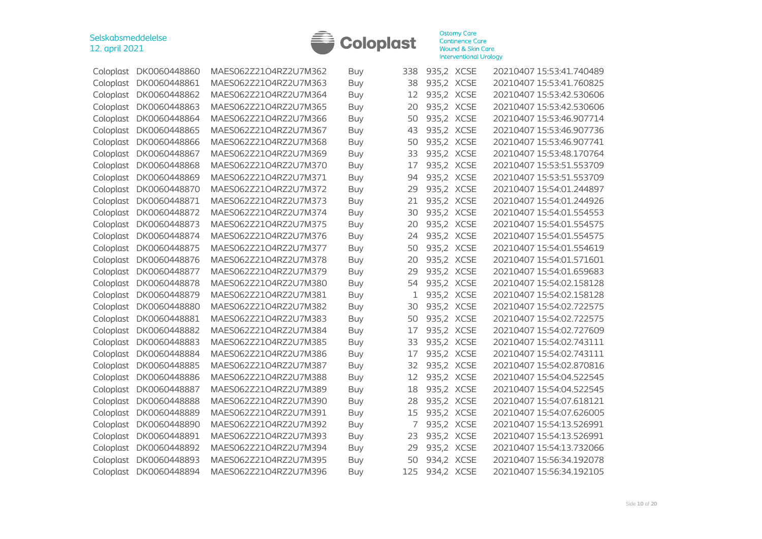

| Coloplast | DK0060448860           | MAES062Z21O4RZ2U7M362 | Buy        | 338 | 935,2 XCSE | 20210407 15:53:41.740489 |
|-----------|------------------------|-----------------------|------------|-----|------------|--------------------------|
| Coloplast | DK0060448861           | MAES062Z21O4RZ2U7M363 | <b>Buy</b> | 38  | 935,2 XCSE | 20210407 15:53:41.760825 |
| Coloplast | DK0060448862           | MAES062Z21O4RZ2U7M364 | <b>Buy</b> | 12  | 935,2 XCSE | 20210407 15:53:42.530606 |
| Coloplast | DK0060448863           | MAES062Z21O4RZ2U7M365 | Buy        | 20  | 935,2 XCSE | 20210407 15:53:42.530606 |
| Coloplast | DK0060448864           | MAES062Z21O4RZ2U7M366 | <b>Buy</b> | 50  | 935,2 XCSE | 20210407 15:53:46.907714 |
| Coloplast | DK0060448865           | MAES062Z21O4RZ2U7M367 | <b>Buy</b> | 43  | 935,2 XCSE | 20210407 15:53:46.907736 |
| Coloplast | DK0060448866           | MAES062Z21O4RZ2U7M368 | Buy        | 50  | 935,2 XCSE | 20210407 15:53:46.907741 |
| Coloplast | DK0060448867           | MAES062Z21O4RZ2U7M369 | <b>Buy</b> | 33  | 935,2 XCSE | 20210407 15:53:48.170764 |
| Coloplast | DK0060448868           | MAES062Z21O4RZ2U7M370 | <b>Buy</b> | 17  | 935,2 XCSE | 20210407 15:53:51.553709 |
| Coloplast | DK0060448869           | MAES062Z21O4RZ2U7M371 | Buy        | 94  | 935,2 XCSE | 20210407 15:53:51.553709 |
| Coloplast | DK0060448870           | MAES062Z21O4RZ2U7M372 | <b>Buy</b> | 29  | 935,2 XCSE | 20210407 15:54:01.244897 |
| Coloplast | DK0060448871           | MAES062Z21O4RZ2U7M373 | <b>Buy</b> | 21  | 935,2 XCSE | 20210407 15:54:01.244926 |
| Coloplast | DK0060448872           | MAES062Z21O4RZ2U7M374 | Buy        | 30  | 935,2 XCSE | 20210407 15:54:01.554553 |
| Coloplast | DK0060448873           | MAES062Z21O4RZ2U7M375 | <b>Buy</b> | 20  | 935,2 XCSE | 20210407 15:54:01.554575 |
| Coloplast | DK0060448874           | MAES062Z21O4RZ2U7M376 | <b>Buy</b> | 24  | 935,2 XCSE | 20210407 15:54:01.554575 |
| Coloplast | DK0060448875           | MAES062Z21O4RZ2U7M377 | Buy        | 50  | 935,2 XCSE | 20210407 15:54:01.554619 |
| Coloplast | DK0060448876           | MAES062Z21O4RZ2U7M378 | Buy        | 20  | 935,2 XCSE | 20210407 15:54:01.571601 |
| Coloplast | DK0060448877           | MAES062Z21O4RZ2U7M379 | <b>Buy</b> | 29  | 935,2 XCSE | 20210407 15:54:01.659683 |
| Coloplast | DK0060448878           | MAES062Z21O4RZ2U7M380 | <b>Buy</b> | 54  | 935,2 XCSE | 20210407 15:54:02.158128 |
| Coloplast | DK0060448879           | MAES062Z21O4RZ2U7M381 | Buy        | 1   | 935,2 XCSE | 20210407 15:54:02.158128 |
| Coloplast | DK0060448880           | MAES062Z21O4RZ2U7M382 | <b>Buy</b> | 30  | 935,2 XCSE | 20210407 15:54:02.722575 |
| Coloplast | DK0060448881           | MAES062Z21O4RZ2U7M383 | Buy        | 50  | 935,2 XCSE | 20210407 15:54:02.722575 |
| Coloplast | DK0060448882           | MAES062Z21O4RZ2U7M384 | Buy        | 17  | 935,2 XCSE | 20210407 15:54:02.727609 |
| Coloplast | DK0060448883           | MAES062Z21O4RZ2U7M385 | Buy        | 33  | 935,2 XCSE | 20210407 15:54:02.743111 |
| Coloplast | DK0060448884           | MAES062Z21O4RZ2U7M386 | Buy        | 17  | 935,2 XCSE | 20210407 15:54:02.743111 |
| Coloplast | DK0060448885           | MAES062Z21O4RZ2U7M387 | Buy        | 32  | 935,2 XCSE | 20210407 15:54:02.870816 |
| Coloplast | DK0060448886           | MAES062Z21O4RZ2U7M388 | <b>Buy</b> | 12  | 935,2 XCSE | 20210407 15:54:04.522545 |
| Coloplast | DK0060448887           | MAES062Z21O4RZ2U7M389 | <b>Buy</b> | 18  | 935,2 XCSE | 20210407 15:54:04.522545 |
| Coloplast | DK0060448888           | MAES062Z21O4RZ2U7M390 | Buy        | 28  | 935,2 XCSE | 20210407 15:54:07.618121 |
| Coloplast | DK0060448889           | MAES062Z21O4RZ2U7M391 | <b>Buy</b> | 15  | 935,2 XCSE | 20210407 15:54:07.626005 |
| Coloplast | DK0060448890           | MAES062Z21O4RZ2U7M392 | <b>Buy</b> | 7   | 935,2 XCSE | 20210407 15:54:13.526991 |
| Coloplast | DK0060448891           | MAES062Z21O4RZ2U7M393 | Buy        | 23  | 935,2 XCSE | 20210407 15:54:13.526991 |
| Coloplast | DK0060448892           | MAES062Z21O4RZ2U7M394 | <b>Buy</b> | 29  | 935,2 XCSE | 20210407 15:54:13.732066 |
| Coloplast | DK0060448893           | MAES062Z21O4RZ2U7M395 | Buy        | 50  | 934,2 XCSE | 20210407 15:56:34.192078 |
|           | Coloplast DK0060448894 | MAES062Z21O4RZ2U7M396 | Buy        | 125 | 934,2 XCSE | 20210407 15:56:34.192105 |
|           |                        |                       |            |     |            |                          |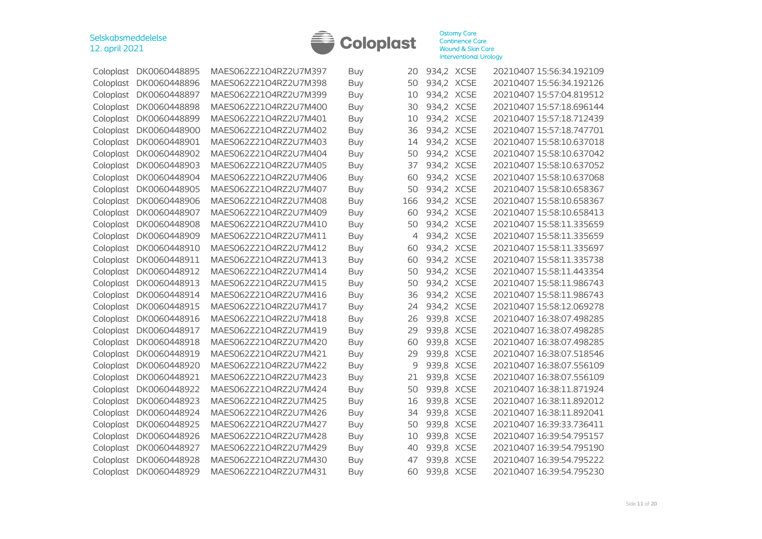

| Coloplast | DK0060448895 | MAES062Z21O4RZ2U7M397 | <b>Buy</b> | 20  | 934,2 XCSE | 20210407 15:56:34.192109 |
|-----------|--------------|-----------------------|------------|-----|------------|--------------------------|
| Coloplast | DK0060448896 | MAES062Z21O4RZ2U7M398 | Buy        | 50  | 934,2 XCSE | 20210407 15:56:34.192126 |
| Coloplast | DK0060448897 | MAES062Z21O4RZ2U7M399 | <b>Buy</b> | 10  | 934,2 XCSE | 20210407 15:57:04.819512 |
| Coloplast | DK0060448898 | MAES062Z21O4RZ2U7M400 | <b>Buy</b> | 30  | 934,2 XCSE | 20210407 15:57:18.696144 |
| Coloplast | DK0060448899 | MAES062Z21O4RZ2U7M401 | Buy        | 10  | 934,2 XCSE | 20210407 15:57:18.712439 |
| Coloplast | DK0060448900 | MAES062Z21O4RZ2U7M402 | Buy        | 36  | 934,2 XCSE | 20210407 15:57:18.747701 |
| Coloplast | DK0060448901 | MAES062Z21O4RZ2U7M403 | <b>Buy</b> | 14  | 934,2 XCSE | 20210407 15:58:10.637018 |
| Coloplast | DK0060448902 | MAES062Z21O4RZ2U7M404 | Buy        | 50  | 934,2 XCSE | 20210407 15:58:10.637042 |
| Coloplast | DK0060448903 | MAES062Z21O4RZ2U7M405 | Buy        | 37  | 934,2 XCSE | 20210407 15:58:10.637052 |
| Coloplast | DK0060448904 | MAES062Z21O4RZ2U7M406 | Buy        | 60  | 934,2 XCSE | 20210407 15:58:10.637068 |
| Coloplast | DK0060448905 | MAES062Z21O4RZ2U7M407 | Buy        | 50  | 934,2 XCSE | 20210407 15:58:10.658367 |
| Coloplast | DK0060448906 | MAES062Z21O4RZ2U7M408 | Buy        | 166 | 934,2 XCSE | 20210407 15:58:10.658367 |
| Coloplast | DK0060448907 | MAES062Z21O4RZ2U7M409 | <b>Buy</b> | 60  | 934,2 XCSE | 20210407 15:58:10.658413 |
| Coloplast | DK0060448908 | MAES062Z21O4RZ2U7M410 | Buy        | 50  | 934,2 XCSE | 20210407 15:58:11.335659 |
| Coloplast | DK0060448909 | MAES062Z21O4RZ2U7M411 | <b>Buy</b> | 4   | 934,2 XCSE | 20210407 15:58:11.335659 |
| Coloplast | DK0060448910 | MAES062Z21O4RZ2U7M412 | Buy        | 60  | 934,2 XCSE | 20210407 15:58:11.335697 |
| Coloplast | DK0060448911 | MAES062Z21O4RZ2U7M413 | <b>Buy</b> | 60  | 934,2 XCSE | 20210407 15:58:11.335738 |
| Coloplast | DK0060448912 | MAES062Z21O4RZ2U7M414 | Buy        | 50  | 934,2 XCSE | 20210407 15:58:11.443354 |
| Coloplast | DK0060448913 | MAES062Z21O4RZ2U7M415 | <b>Buy</b> | 50  | 934,2 XCSE | 20210407 15:58:11.986743 |
| Coloplast | DK0060448914 | MAES062Z21O4RZ2U7M416 | Buy        | 36  | 934,2 XCSE | 20210407 15:58:11.986743 |
| Coloplast | DK0060448915 | MAES062Z21O4RZ2U7M417 | <b>Buy</b> | 24  | 934,2 XCSE | 20210407 15:58:12.069278 |
| Coloplast | DK0060448916 | MAES062Z21O4RZ2U7M418 | <b>Buy</b> | 26  | 939,8 XCSE | 20210407 16:38:07.498285 |
| Coloplast | DK0060448917 | MAES062Z21O4RZ2U7M419 | <b>Buy</b> | 29  | 939,8 XCSE | 20210407 16:38:07.498285 |
| Coloplast | DK0060448918 | MAES062Z21O4RZ2U7M420 | Buy        | 60  | 939,8 XCSE | 20210407 16:38:07.498285 |
| Coloplast | DK0060448919 | MAES062Z21O4RZ2U7M421 | <b>Buy</b> | 29  | 939,8 XCSE | 20210407 16:38:07.518546 |
| Coloplast | DK0060448920 | MAES062Z21O4RZ2U7M422 | Buy        | 9   | 939,8 XCSE | 20210407 16:38:07.556109 |
| Coloplast | DK0060448921 | MAES062Z21O4RZ2U7M423 | <b>Buy</b> | 21  | 939,8 XCSE | 20210407 16:38:07.556109 |
| Coloplast | DK0060448922 | MAES062Z21O4RZ2U7M424 | <b>Buy</b> | 50  | 939,8 XCSE | 20210407 16:38:11.871924 |
| Coloplast | DK0060448923 | MAES062Z21O4RZ2U7M425 | Buy        | 16  | 939,8 XCSE | 20210407 16:38:11.892012 |
| Coloplast | DK0060448924 | MAES062Z21O4RZ2U7M426 | <b>Buy</b> | 34  | 939,8 XCSE | 20210407 16:38:11.892041 |
| Coloplast | DK0060448925 | MAES062Z21O4RZ2U7M427 | Buy        | 50  | 939,8 XCSE | 20210407 16:39:33.736411 |
| Coloplast | DK0060448926 | MAES062Z21O4RZ2U7M428 | <b>Buy</b> | 10  | 939,8 XCSE | 20210407 16:39:54.795157 |
| Coloplast | DK0060448927 | MAES062Z21O4RZ2U7M429 | Buy        | 40  | 939,8 XCSE | 20210407 16:39:54.795190 |
| Coloplast | DK0060448928 | MAES062Z21O4RZ2U7M430 | Buy        | 47  | 939,8 XCSE | 20210407 16:39:54.795222 |
| Coloplast | DK0060448929 | MAES062Z21O4RZ2U7M431 | <b>Buy</b> | 60  | 939,8 XCSE | 20210407 16:39:54.795230 |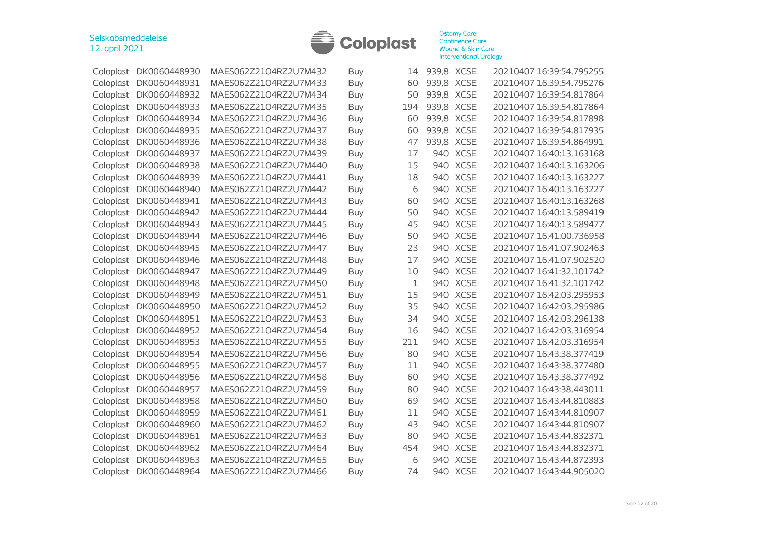

| Coloplast | DK0060448930 | MAES062Z21O4RZ2U7M432 | Buy        | 14  | 939,8 XCSE |             | 20210407 16:39:54.795255 |
|-----------|--------------|-----------------------|------------|-----|------------|-------------|--------------------------|
| Coloplast | DK0060448931 | MAES062Z21O4RZ2U7M433 | <b>Buy</b> | 60  | 939,8 XCSE |             | 20210407 16:39:54.795276 |
| Coloplast | DK0060448932 | MAES062Z21O4RZ2U7M434 | Buy        | 50  | 939,8 XCSE |             | 20210407 16:39:54.817864 |
| Coloplast | DK0060448933 | MAES062Z21O4RZ2U7M435 | Buy        | 194 | 939,8 XCSE |             | 20210407 16:39:54.817864 |
| Coloplast | DK0060448934 | MAES062Z21O4RZ2U7M436 | Buy        | 60  | 939,8 XCSE |             | 20210407 16:39:54.817898 |
| Coloplast | DK0060448935 | MAES062Z21O4RZ2U7M437 | <b>Buy</b> | 60  | 939,8 XCSE |             | 20210407 16:39:54.817935 |
| Coloplast | DK0060448936 | MAES062Z21O4RZ2U7M438 | <b>Buy</b> | 47  | 939,8 XCSE |             | 20210407 16:39:54.864991 |
| Coloplast | DK0060448937 | MAES062Z21O4RZ2U7M439 | <b>Buy</b> | 17  |            | 940 XCSE    | 20210407 16:40:13.163168 |
| Coloplast | DK0060448938 | MAES062Z21O4RZ2U7M440 | Buy        | 15  | 940        | <b>XCSE</b> | 20210407 16:40:13.163206 |
| Coloplast | DK0060448939 | MAES062Z21O4RZ2U7M441 | Buy        | 18  |            | 940 XCSE    | 20210407 16:40:13.163227 |
| Coloplast | DK0060448940 | MAES062Z21O4RZ2U7M442 | Buy        | 6   |            | 940 XCSE    | 20210407 16:40:13.163227 |
| Coloplast | DK0060448941 | MAES062Z21O4RZ2U7M443 | Buy        | 60  | 940        | <b>XCSE</b> | 20210407 16:40:13.163268 |
| Coloplast | DK0060448942 | MAES062Z21O4RZ2U7M444 | <b>Buy</b> | 50  | 940        | <b>XCSE</b> | 20210407 16:40:13.589419 |
| Coloplast | DK0060448943 | MAES062Z21O4RZ2U7M445 | Buy        | 45  | 940        | <b>XCSE</b> | 20210407 16:40:13.589477 |
| Coloplast | DK0060448944 | MAES062Z21O4RZ2U7M446 | <b>Buy</b> | 50  | 940        | <b>XCSE</b> | 20210407 16:41:00.736958 |
| Coloplast | DK0060448945 | MAES062Z21O4RZ2U7M447 | Buy        | 23  | 940        | <b>XCSE</b> | 20210407 16:41:07.902463 |
| Coloplast | DK0060448946 | MAES062Z21O4RZ2U7M448 | Buy        | 17  | 940        | <b>XCSE</b> | 20210407 16:41:07.902520 |
| Coloplast | DK0060448947 | MAES062Z21O4RZ2U7M449 | Buy        | 10  |            | 940 XCSE    | 20210407 16:41:32.101742 |
| Coloplast | DK0060448948 | MAES062Z21O4RZ2U7M450 | Buy        | 1   |            | 940 XCSE    | 20210407 16:41:32.101742 |
| Coloplast | DK0060448949 | MAES062Z21O4RZ2U7M451 | <b>Buy</b> | 15  | 940        | <b>XCSE</b> | 20210407 16:42:03.295953 |
| Coloplast | DK0060448950 | MAES062Z21O4RZ2U7M452 | Buy        | 35  | 940        | <b>XCSE</b> | 20210407 16:42:03.295986 |
| Coloplast | DK0060448951 | MAES062Z21O4RZ2U7M453 | Buy        | 34  | 940        | <b>XCSE</b> | 20210407 16:42:03.296138 |
| Coloplast | DK0060448952 | MAES062Z21O4RZ2U7M454 | Buy        | 16  | 940        | <b>XCSE</b> | 20210407 16:42:03.316954 |
| Coloplast | DK0060448953 | MAES062Z21O4RZ2U7M455 | <b>Buy</b> | 211 | 940        | <b>XCSE</b> | 20210407 16:42:03.316954 |
| Coloplast | DK0060448954 | MAES062Z21O4RZ2U7M456 | Buy        | 80  | 940        | <b>XCSE</b> | 20210407 16:43:38.377419 |
| Coloplast | DK0060448955 | MAES062Z21O4RZ2U7M457 | Buy        | 11  |            | 940 XCSE    | 20210407 16:43:38.377480 |
| Coloplast | DK0060448956 | MAES062Z21O4RZ2U7M458 | Buy        | 60  | 940        | <b>XCSE</b> | 20210407 16:43:38.377492 |
| Coloplast | DK0060448957 | MAES062Z21O4RZ2U7M459 | <b>Buy</b> | 80  | 940        | <b>XCSE</b> | 20210407 16:43:38.443011 |
| Coloplast | DK0060448958 | MAES062Z21O4RZ2U7M460 | <b>Buy</b> | 69  | 940        | <b>XCSE</b> | 20210407 16:43:44.810883 |
| Coloplast | DK0060448959 | MAES062Z21O4RZ2U7M461 | <b>Buy</b> | 11  | 940        | <b>XCSE</b> | 20210407 16:43:44.810907 |
| Coloplast | DK0060448960 | MAES062Z21O4RZ2U7M462 | <b>Buy</b> | 43  | 940        | <b>XCSE</b> | 20210407 16:43:44.810907 |
| Coloplast | DK0060448961 | MAES062Z21O4RZ2U7M463 | Buy        | 80  |            | 940 XCSE    | 20210407 16:43:44.832371 |
| Coloplast | DK0060448962 | MAES062Z21O4RZ2U7M464 | Buy        | 454 |            | 940 XCSE    | 20210407 16:43:44.832371 |
| Coloplast | DK0060448963 | MAES062Z21O4RZ2U7M465 | Buy        | 6   |            | 940 XCSE    | 20210407 16:43:44.872393 |
| Coloplast | DK0060448964 | MAES062Z21O4RZ2U7M466 | Buy        | 74  |            | 940 XCSE    | 20210407 16:43:44.905020 |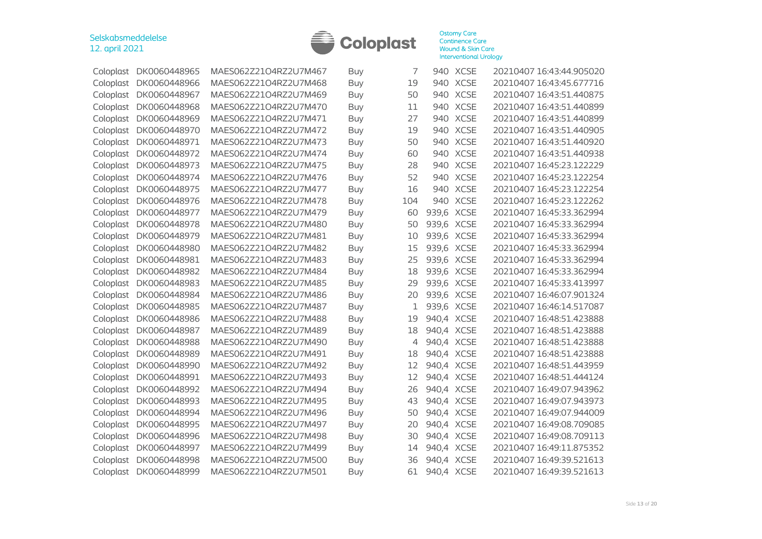

| Coloplast | DK0060448965 | MAES062Z21O4RZ2U7M467 | Buy        | 7   |            | 940 XCSE    | 20210407 16:43:44.905020 |
|-----------|--------------|-----------------------|------------|-----|------------|-------------|--------------------------|
| Coloplast | DK0060448966 | MAES062Z21O4RZ2U7M468 | Buy        | 19  | 940        | <b>XCSE</b> | 20210407 16:43:45.677716 |
| Coloplast | DK0060448967 | MAES062Z21O4RZ2U7M469 | Buy        | 50  |            | 940 XCSE    | 20210407 16:43:51.440875 |
| Coloplast | DK0060448968 | MAES062Z21O4RZ2U7M470 | Buy        | 11  | 940        | <b>XCSE</b> | 20210407 16:43:51.440899 |
| Coloplast | DK0060448969 | MAES062Z21O4RZ2U7M471 | Buy        | 27  | 940        | <b>XCSE</b> | 20210407 16:43:51.440899 |
| Coloplast | DK0060448970 | MAES062Z21O4RZ2U7M472 | Buy        | 19  | 940        | <b>XCSE</b> | 20210407 16:43:51.440905 |
| Coloplast | DK0060448971 | MAES062Z21O4RZ2U7M473 | <b>Buy</b> | 50  | 940        | <b>XCSE</b> | 20210407 16:43:51.440920 |
| Coloplast | DK0060448972 | MAES062Z21O4RZ2U7M474 | Buy        | 60  | 940        | <b>XCSE</b> | 20210407 16:43:51.440938 |
| Coloplast | DK0060448973 | MAES062Z21O4RZ2U7M475 | <b>Buy</b> | 28  | 940        | <b>XCSE</b> | 20210407 16:45:23.122229 |
| Coloplast | DK0060448974 | MAES062Z21O4RZ2U7M476 | Buy        | 52  | 940        | <b>XCSE</b> | 20210407 16:45:23.122254 |
| Coloplast | DK0060448975 | MAES062Z21O4RZ2U7M477 | Buy        | 16  | 940        | <b>XCSE</b> | 20210407 16:45:23.122254 |
| Coloplast | DK0060448976 | MAES062Z21O4RZ2U7M478 | Buy        | 104 | 940        | <b>XCSE</b> | 20210407 16:45:23.122262 |
| Coloplast | DK0060448977 | MAES062Z21O4RZ2U7M479 | Buy        | 60  | 939,6 XCSE |             | 20210407 16:45:33.362994 |
| Coloplast | DK0060448978 | MAES062Z21O4RZ2U7M480 | <b>Buy</b> | 50  | 939,6 XCSE |             | 20210407 16:45:33.362994 |
| Coloplast | DK0060448979 | MAES062Z21O4RZ2U7M481 | Buy        | 10  | 939,6 XCSE |             | 20210407 16:45:33.362994 |
| Coloplast | DK0060448980 | MAES062Z21O4RZ2U7M482 | Buy        | 15  | 939,6 XCSE |             | 20210407 16:45:33.362994 |
| Coloplast | DK0060448981 | MAES062Z21O4RZ2U7M483 | Buy        | 25  | 939,6 XCSE |             | 20210407 16:45:33.362994 |
| Coloplast | DK0060448982 | MAES062Z21O4RZ2U7M484 | Buy        | 18  | 939,6 XCSE |             | 20210407 16:45:33.362994 |
| Coloplast | DK0060448983 | MAES062Z21O4RZ2U7M485 | Buy        | 29  | 939,6 XCSE |             | 20210407 16:45:33.413997 |
| Coloplast | DK0060448984 | MAES062Z21O4RZ2U7M486 | <b>Buy</b> | 20  | 939,6 XCSE |             | 20210407 16:46:07.901324 |
| Coloplast | DK0060448985 | MAES062Z21O4RZ2U7M487 | Buy        | 1   | 939,6 XCSE |             | 20210407 16:46:14.517087 |
| Coloplast | DK0060448986 | MAES062Z21O4RZ2U7M488 | <b>Buy</b> | 19  | 940,4 XCSE |             | 20210407 16:48:51.423888 |
| Coloplast | DK0060448987 | MAES062Z21O4RZ2U7M489 | Buy        | 18  | 940,4 XCSE |             | 20210407 16:48:51.423888 |
| Coloplast | DK0060448988 | MAES062Z21O4RZ2U7M490 | Buy        | 4   | 940,4 XCSE |             | 20210407 16:48:51.423888 |
| Coloplast | DK0060448989 | MAES062Z21O4RZ2U7M491 | Buy        | 18  | 940,4 XCSE |             | 20210407 16:48:51.423888 |
| Coloplast | DK0060448990 | MAES062Z21O4RZ2U7M492 | Buy        | 12  | 940,4 XCSE |             | 20210407 16:48:51.443959 |
| Coloplast | DK0060448991 | MAES062Z21O4RZ2U7M493 | <b>Buy</b> | 12  | 940,4 XCSE |             | 20210407 16:48:51.444124 |
| Coloplast | DK0060448992 | MAES062Z21O4RZ2U7M494 | Buy        | 26  | 940,4 XCSE |             | 20210407 16:49:07.943962 |
| Coloplast | DK0060448993 | MAES062Z21O4RZ2U7M495 | <b>Buy</b> | 43  | 940,4 XCSE |             | 20210407 16:49:07.943973 |
| Coloplast | DK0060448994 | MAES062Z21O4RZ2U7M496 | Buy        | 50  | 940,4 XCSE |             | 20210407 16:49:07.944009 |
| Coloplast | DK0060448995 | MAES062Z21O4RZ2U7M497 | Buy        | 20  | 940,4 XCSE |             | 20210407 16:49:08.709085 |
| Coloplast | DK0060448996 | MAES062Z21O4RZ2U7M498 | Buy        | 30  | 940,4 XCSE |             | 20210407 16:49:08.709113 |
| Coloplast | DK0060448997 | MAES062Z21O4RZ2U7M499 | <b>Buy</b> | 14  | 940,4 XCSE |             | 20210407 16:49:11.875352 |
| Coloplast | DK0060448998 | MAES062Z21O4RZ2U7M500 | Buy        | 36  | 940,4 XCSE |             | 20210407 16:49:39.521613 |
| Coloplast | DK0060448999 | MAES062Z21O4RZ2U7M501 | Buy        | 61  | 940,4 XCSE |             | 20210407 16:49:39.521613 |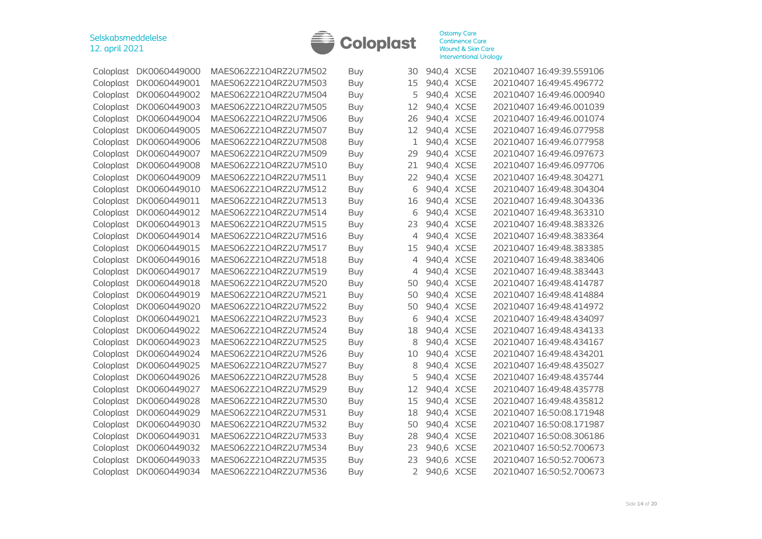

|           | Coloplast DK0060449000 | MAES062Z21O4RZ2U7M502 | Buy        | 30 | 940,4 XCSE | 20210407 16:49:39.559106 |
|-----------|------------------------|-----------------------|------------|----|------------|--------------------------|
| Coloplast | DK0060449001           | MAES062Z21O4RZ2U7M503 | Buy        | 15 | 940,4 XCSE | 20210407 16:49:45.496772 |
| Coloplast | DK0060449002           | MAES062Z21O4RZ2U7M504 | <b>Buy</b> | 5  | 940,4 XCSE | 20210407 16:49:46.000940 |
| Coloplast | DK0060449003           | MAES062Z21O4RZ2U7M505 | Buy        | 12 | 940,4 XCSE | 20210407 16:49:46.001039 |
| Coloplast | DK0060449004           | MAES062Z21O4RZ2U7M506 | <b>Buy</b> | 26 | 940,4 XCSE | 20210407 16:49:46.001074 |
| Coloplast | DK0060449005           | MAES062Z21O4RZ2U7M507 | <b>Buy</b> | 12 | 940,4 XCSE | 20210407 16:49:46.077958 |
| Coloplast | DK0060449006           | MAES062Z21O4RZ2U7M508 | Buy        | 1  | 940,4 XCSE | 20210407 16:49:46.077958 |
| Coloplast | DK0060449007           | MAES062Z21O4RZ2U7M509 | <b>Buy</b> | 29 | 940,4 XCSE | 20210407 16:49:46.097673 |
| Coloplast | DK0060449008           | MAES062Z21O4RZ2U7M510 | Buy        | 21 | 940,4 XCSE | 20210407 16:49:46.097706 |
| Coloplast | DK0060449009           | MAES062Z21O4RZ2U7M511 | Buy        | 22 | 940,4 XCSE | 20210407 16:49:48.304271 |
| Coloplast | DK0060449010           | MAES062Z21O4RZ2U7M512 | <b>Buy</b> | 6  | 940,4 XCSE | 20210407 16:49:48.304304 |
| Coloplast | DK0060449011           | MAES062Z21O4RZ2U7M513 | <b>Buy</b> | 16 | 940,4 XCSE | 20210407 16:49:48.304336 |
| Coloplast | DK0060449012           | MAES062Z21O4RZ2U7M514 | Buy        | 6  | 940,4 XCSE | 20210407 16:49:48.363310 |
| Coloplast | DK0060449013           | MAES062Z21O4RZ2U7M515 | <b>Buy</b> | 23 | 940,4 XCSE | 20210407 16:49:48.383326 |
| Coloplast | DK0060449014           | MAES062Z21O4RZ2U7M516 | <b>Buy</b> | 4  | 940,4 XCSE | 20210407 16:49:48.383364 |
| Coloplast | DK0060449015           | MAES062Z21O4RZ2U7M517 | Buy        | 15 | 940,4 XCSE | 20210407 16:49:48.383385 |
| Coloplast | DK0060449016           | MAES062Z21O4RZ2U7M518 | Buy        | 4  | 940,4 XCSE | 20210407 16:49:48.383406 |
| Coloplast | DK0060449017           | MAES062Z21O4RZ2U7M519 | Buy        | 4  | 940,4 XCSE | 20210407 16:49:48.383443 |
| Coloplast | DK0060449018           | MAES062Z21O4RZ2U7M520 | Buy        | 50 | 940,4 XCSE | 20210407 16:49:48.414787 |
| Coloplast | DK0060449019           | MAES062Z21O4RZ2U7M521 | Buy        | 50 | 940,4 XCSE | 20210407 16:49:48.414884 |
| Coloplast | DK0060449020           | MAES062Z21O4RZ2U7M522 | <b>Buy</b> | 50 | 940,4 XCSE | 20210407 16:49:48.414972 |
| Coloplast | DK0060449021           | MAES062Z21O4RZ2U7M523 | Buy        | 6  | 940,4 XCSE | 20210407 16:49:48.434097 |
| Coloplast | DK0060449022           | MAES062Z21O4RZ2U7M524 | Buy        | 18 | 940,4 XCSE | 20210407 16:49:48.434133 |
| Coloplast | DK0060449023           | MAES062Z21O4RZ2U7M525 | <b>Buy</b> | 8  | 940,4 XCSE | 20210407 16:49:48.434167 |
| Coloplast | DK0060449024           | MAES062Z21O4RZ2U7M526 | Buy        | 10 | 940,4 XCSE | 20210407 16:49:48.434201 |
| Coloplast | DK0060449025           | MAES062Z21O4RZ2U7M527 | Buy        | 8  | 940,4 XCSE | 20210407 16:49:48.435027 |
| Coloplast | DK0060449026           | MAES062Z21O4RZ2U7M528 | <b>Buy</b> | 5  | 940,4 XCSE | 20210407 16:49:48.435744 |
| Coloplast | DK0060449027           | MAES062Z21O4RZ2U7M529 | <b>Buy</b> | 12 | 940,4 XCSE | 20210407 16:49:48.435778 |
| Coloplast | DK0060449028           | MAES062Z21O4RZ2U7M530 | Buy        | 15 | 940,4 XCSE | 20210407 16:49:48.435812 |
| Coloplast | DK0060449029           | MAES062Z21O4RZ2U7M531 | <b>Buy</b> | 18 | 940,4 XCSE | 20210407 16:50:08.171948 |
| Coloplast | DK0060449030           | MAES062Z21O4RZ2U7M532 | <b>Buy</b> | 50 | 940,4 XCSE | 20210407 16:50:08.171987 |
| Coloplast | DK0060449031           | MAES062Z21O4RZ2U7M533 | Buy        | 28 | 940,4 XCSE | 20210407 16:50:08.306186 |
| Coloplast | DK0060449032           | MAES062Z21O4RZ2U7M534 | <b>Buy</b> | 23 | 940,6 XCSE | 20210407 16:50:52.700673 |
| Coloplast | DK0060449033           | MAES062Z21O4RZ2U7M535 | Buy        | 23 | 940,6 XCSE | 20210407 16:50:52.700673 |
| Coloplast | DK0060449034           | MAES062Z21O4RZ2U7M536 | Buy        | 2  | 940,6 XCSE | 20210407 16:50:52.700673 |
|           |                        |                       |            |    |            |                          |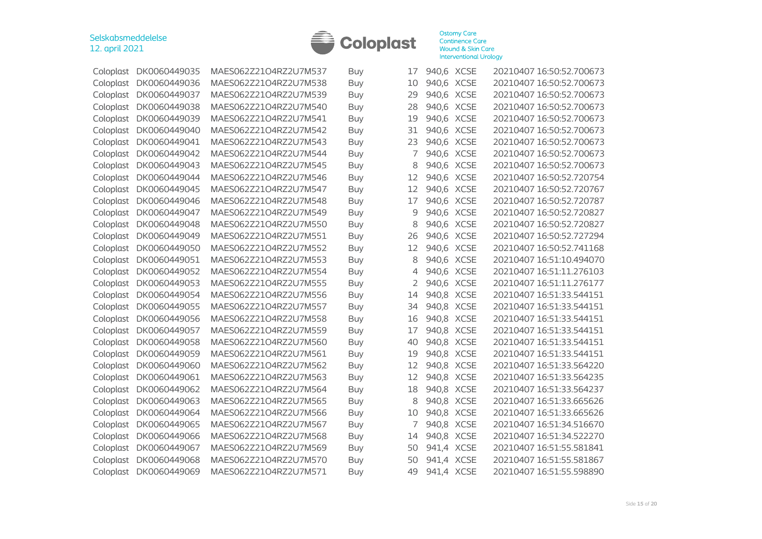

|           | Coloplast DK0060449035 | MAES062Z21O4RZ2U7M537 | Buy        | 17 | 940,6 XCSE | 20210407 16:50:52.700673 |
|-----------|------------------------|-----------------------|------------|----|------------|--------------------------|
| Coloplast | DK0060449036           | MAES062Z21O4RZ2U7M538 | <b>Buy</b> | 10 | 940,6 XCSE | 20210407 16:50:52.700673 |
| Coloplast | DK0060449037           | MAES062Z21O4RZ2U7M539 | <b>Buy</b> | 29 | 940,6 XCSE | 20210407 16:50:52.700673 |
| Coloplast | DK0060449038           | MAES062Z21O4RZ2U7M540 | Buy        | 28 | 940,6 XCSE | 20210407 16:50:52.700673 |
| Coloplast | DK0060449039           | MAES062Z21O4RZ2U7M541 | Buy        | 19 | 940,6 XCSE | 20210407 16:50:52.700673 |
| Coloplast | DK0060449040           | MAES062Z21O4RZ2U7M542 | <b>Buy</b> | 31 | 940,6 XCSE | 20210407 16:50:52.700673 |
| Coloplast | DK0060449041           | MAES062Z21O4RZ2U7M543 | <b>Buy</b> | 23 | 940,6 XCSE | 20210407 16:50:52.700673 |
| Coloplast | DK0060449042           | MAES062Z21O4RZ2U7M544 | <b>Buy</b> | 7  | 940,6 XCSE | 20210407 16:50:52.700673 |
| Coloplast | DK0060449043           | MAES062Z21O4RZ2U7M545 | <b>Buy</b> | 8  | 940,6 XCSE | 20210407 16:50:52.700673 |
| Coloplast | DK0060449044           | MAES062Z21O4RZ2U7M546 | <b>Buy</b> | 12 | 940,6 XCSE | 20210407 16:50:52.720754 |
| Coloplast | DK0060449045           | MAES062Z21O4RZ2U7M547 | <b>Buy</b> | 12 | 940,6 XCSE | 20210407 16:50:52.720767 |
| Coloplast | DK0060449046           | MAES062Z21O4RZ2U7M548 | <b>Buy</b> | 17 | 940,6 XCSE | 20210407 16:50:52.720787 |
| Coloplast | DK0060449047           | MAES062Z21O4RZ2U7M549 | Buy        | 9  | 940,6 XCSE | 20210407 16:50:52.720827 |
| Coloplast | DK0060449048           | MAES062Z21O4RZ2U7M550 | <b>Buy</b> | 8  | 940,6 XCSE | 20210407 16:50:52.720827 |
| Coloplast | DK0060449049           | MAES062Z21O4RZ2U7M551 | <b>Buy</b> | 26 | 940,6 XCSE | 20210407 16:50:52.727294 |
| Coloplast | DK0060449050           | MAES062Z21O4RZ2U7M552 | <b>Buy</b> | 12 | 940,6 XCSE | 20210407 16:50:52.741168 |
| Coloplast | DK0060449051           | MAES062Z21O4RZ2U7M553 | <b>Buy</b> | 8  | 940,6 XCSE | 20210407 16:51:10.494070 |
| Coloplast | DK0060449052           | MAES062Z21O4RZ2U7M554 | <b>Buy</b> | 4  | 940,6 XCSE | 20210407 16:51:11.276103 |
| Coloplast | DK0060449053           | MAES062Z21O4RZ2U7M555 | <b>Buy</b> | 2  | 940,6 XCSE | 20210407 16:51:11.276177 |
| Coloplast | DK0060449054           | MAES062Z21O4RZ2U7M556 | <b>Buy</b> | 14 | 940,8 XCSE | 20210407 16:51:33.544151 |
| Coloplast | DK0060449055           | MAES062Z21O4RZ2U7M557 | <b>Buy</b> | 34 | 940,8 XCSE | 20210407 16:51:33.544151 |
| Coloplast | DK0060449056           | MAES062Z21O4RZ2U7M558 | <b>Buy</b> | 16 | 940,8 XCSE | 20210407 16:51:33.544151 |
| Coloplast | DK0060449057           | MAES062Z21O4RZ2U7M559 | <b>Buy</b> | 17 | 940,8 XCSE | 20210407 16:51:33.544151 |
| Coloplast | DK0060449058           | MAES062Z21O4RZ2U7M560 | <b>Buy</b> | 40 | 940,8 XCSE | 20210407 16:51:33.544151 |
| Coloplast | DK0060449059           | MAES062Z21O4RZ2U7M561 | <b>Buy</b> | 19 | 940,8 XCSE | 20210407 16:51:33.544151 |
| Coloplast | DK0060449060           | MAES062Z21O4RZ2U7M562 | <b>Buy</b> | 12 | 940,8 XCSE | 20210407 16:51:33.564220 |
| Coloplast | DK0060449061           | MAES062Z21O4RZ2U7M563 | <b>Buy</b> | 12 | 940,8 XCSE | 20210407 16:51:33.564235 |
| Coloplast | DK0060449062           | MAES062Z21O4RZ2U7M564 | <b>Buy</b> | 18 | 940,8 XCSE | 20210407 16:51:33.564237 |
| Coloplast | DK0060449063           | MAES062Z21O4RZ2U7M565 | <b>Buy</b> | 8  | 940,8 XCSE | 20210407 16:51:33.665626 |
| Coloplast | DK0060449064           | MAES062Z21O4RZ2U7M566 | <b>Buy</b> | 10 | 940,8 XCSE | 20210407 16:51:33.665626 |
| Coloplast | DK0060449065           | MAES062Z21O4RZ2U7M567 | <b>Buy</b> | 7  | 940,8 XCSE | 20210407 16:51:34.516670 |
| Coloplast | DK0060449066           | MAES062Z21O4RZ2U7M568 | <b>Buy</b> | 14 | 940,8 XCSE | 20210407 16:51:34.522270 |
|           | Coloplast DK0060449067 | MAES062Z21O4RZ2U7M569 | Buy        | 50 | 941,4 XCSE | 20210407 16:51:55.581841 |
| Coloplast | DK0060449068           | MAES062Z21O4RZ2U7M570 | <b>Buy</b> | 50 | 941,4 XCSE | 20210407 16:51:55.581867 |
|           | Coloplast DK0060449069 | MAES062Z21O4RZ2U7M571 | <b>Buy</b> | 49 | 941,4 XCSE | 20210407 16:51:55.598890 |
|           |                        |                       |            |    |            |                          |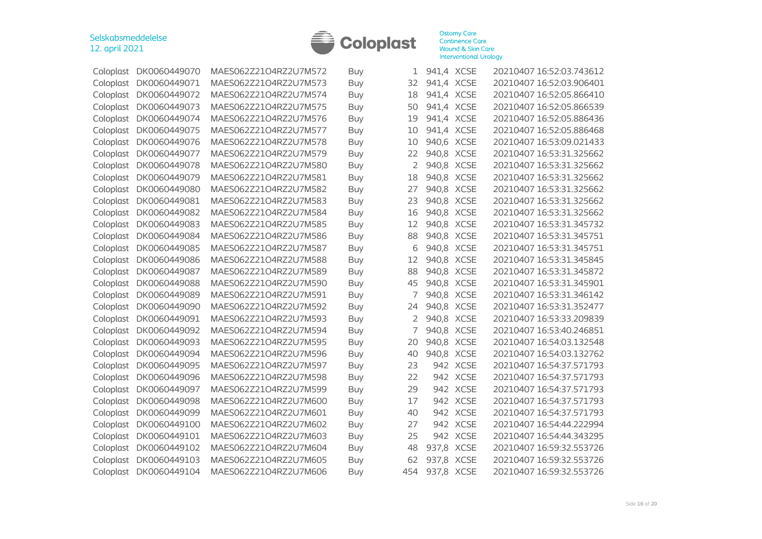

| Coloplast | DK0060449070           | MAES062Z21O4RZ2U7M572 | Buy        | 1              | 941,4 XCSE |          | 20210407 16:52:03.743612 |
|-----------|------------------------|-----------------------|------------|----------------|------------|----------|--------------------------|
| Coloplast | DK0060449071           | MAES062Z21O4RZ2U7M573 | Buy        | 32             | 941,4 XCSE |          | 20210407 16:52:03.906401 |
| Coloplast | DK0060449072           | MAES062Z21O4RZ2U7M574 | Buy        | 18             | 941,4 XCSE |          | 20210407 16:52:05.866410 |
| Coloplast | DK0060449073           | MAES062Z21O4RZ2U7M575 | Buy        | 50             | 941,4 XCSE |          | 20210407 16:52:05.866539 |
| Coloplast | DK0060449074           | MAES062Z21O4RZ2U7M576 | Buy        | 19             | 941,4 XCSE |          | 20210407 16:52:05.886436 |
| Coloplast | DK0060449075           | MAES062Z21O4RZ2U7M577 | Buy        | 10             | 941,4 XCSE |          | 20210407 16:52:05.886468 |
| Coloplast | DK0060449076           | MAES062Z21O4RZ2U7M578 | Buy        | 10             | 940,6 XCSE |          | 20210407 16:53:09.021433 |
| Coloplast | DK0060449077           | MAES062Z21O4RZ2U7M579 | Buy        | 22             | 940,8 XCSE |          | 20210407 16:53:31.325662 |
| Coloplast | DK0060449078           | MAES062Z21O4RZ2U7M580 | Buy        | $\overline{2}$ | 940,8 XCSE |          | 20210407 16:53:31.325662 |
| Coloplast | DK0060449079           | MAES062Z21O4RZ2U7M581 | Buy        | 18             | 940,8 XCSE |          | 20210407 16:53:31.325662 |
| Coloplast | DK0060449080           | MAES062Z21O4RZ2U7M582 | <b>Buy</b> | 27             | 940,8 XCSE |          | 20210407 16:53:31.325662 |
| Coloplast | DK0060449081           | MAES062Z21O4RZ2U7M583 | Buy        | 23             | 940,8 XCSE |          | 20210407 16:53:31.325662 |
| Coloplast | DK0060449082           | MAES062Z21O4RZ2U7M584 | Buy        | 16             | 940,8 XCSE |          | 20210407 16:53:31.325662 |
| Coloplast | DK0060449083           | MAES062Z21O4RZ2U7M585 | Buy        | 12             | 940,8 XCSE |          | 20210407 16:53:31.345732 |
| Coloplast | DK0060449084           | MAES062Z21O4RZ2U7M586 | <b>Buy</b> | 88             | 940,8 XCSE |          | 20210407 16:53:31.345751 |
| Coloplast | DK0060449085           | MAES062Z21O4RZ2U7M587 | Buy        | 6              | 940,8 XCSE |          | 20210407 16:53:31.345751 |
| Coloplast | DK0060449086           | MAES062Z21O4RZ2U7M588 | Buy        | 12             | 940,8 XCSE |          | 20210407 16:53:31.345845 |
| Coloplast | DK0060449087           | MAES062Z21O4RZ2U7M589 | Buy        | 88             | 940,8 XCSE |          | 20210407 16:53:31.345872 |
| Coloplast | DK0060449088           | MAES062Z21O4RZ2U7M590 | Buy        | 45             | 940,8 XCSE |          | 20210407 16:53:31.345901 |
| Coloplast | DK0060449089           | MAES062Z21O4RZ2U7M591 | Buy        | 7              | 940,8 XCSE |          | 20210407 16:53:31.346142 |
| Coloplast | DK0060449090           | MAES062Z21O4RZ2U7M592 | <b>Buy</b> | 24             | 940,8 XCSE |          | 20210407 16:53:31.352477 |
| Coloplast | DK0060449091           | MAES062Z21O4RZ2U7M593 | Buy        | 2              | 940,8 XCSE |          | 20210407 16:53:33.209839 |
| Coloplast | DK0060449092           | MAES062Z21O4RZ2U7M594 | <b>Buy</b> | 7              | 940,8 XCSE |          | 20210407 16:53:40.246851 |
| Coloplast | DK0060449093           | MAES062Z21O4RZ2U7M595 | Buy        | 20             | 940,8 XCSE |          | 20210407 16:54:03.132548 |
| Coloplast | DK0060449094           | MAES062Z21O4RZ2U7M596 | <b>Buy</b> | 40             | 940,8 XCSE |          | 20210407 16:54:03.132762 |
| Coloplast | DK0060449095           | MAES062Z21O4RZ2U7M597 | Buy        | 23             |            | 942 XCSE | 20210407 16:54:37.571793 |
| Coloplast | DK0060449096           | MAES062Z21O4RZ2U7M598 | <b>Buy</b> | 22             |            | 942 XCSE | 20210407 16:54:37.571793 |
| Coloplast | DK0060449097           | MAES062Z21O4RZ2U7M599 | Buy        | 29             |            | 942 XCSE | 20210407 16:54:37.571793 |
| Coloplast | DK0060449098           | MAES062Z21O4RZ2U7M600 | Buy        | 17             |            | 942 XCSE | 20210407 16:54:37.571793 |
| Coloplast | DK0060449099           | MAES062Z21O4RZ2U7M601 | <b>Buy</b> | 40             |            | 942 XCSE | 20210407 16:54:37.571793 |
| Coloplast | DK0060449100           | MAES062Z21O4RZ2U7M602 | Buy        | 27             |            | 942 XCSE | 20210407 16:54:44.222994 |
| Coloplast | DK0060449101           | MAES062Z21O4RZ2U7M603 | Buy        | 25             |            | 942 XCSE | 20210407 16:54:44.343295 |
| Coloplast | DK0060449102           | MAES062Z21O4RZ2U7M604 | Buy        | 48             | 937,8 XCSE |          | 20210407 16:59:32.553726 |
| Coloplast | DK0060449103           | MAES062Z21O4RZ2U7M605 | Buy        | 62             | 937,8 XCSE |          | 20210407 16:59:32.553726 |
|           | Coloplast DK0060449104 | MAES062Z21O4RZ2U7M606 | Buy        | 454            | 937,8 XCSE |          | 20210407 16:59:32.553726 |
|           |                        |                       |            |                |            |          |                          |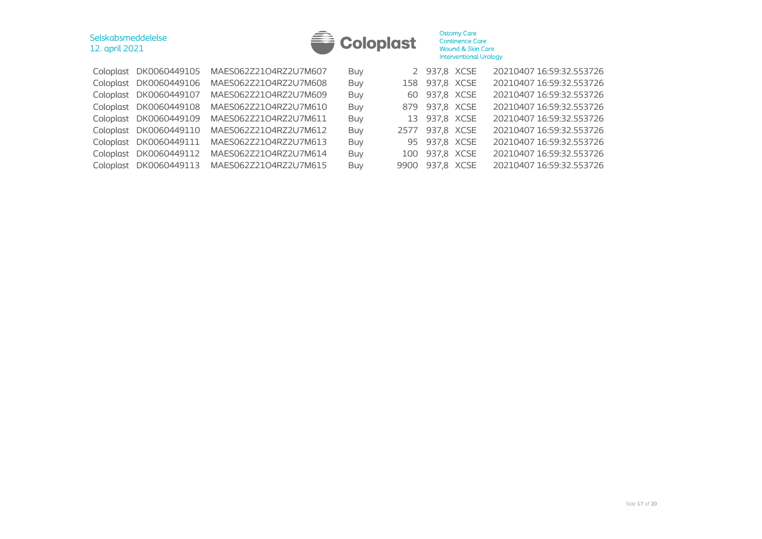| <b>Coloplast</b> |
|------------------|

| Coloplast DK0060449105 | MAES062Z21O4RZ2U7M607 | Buy        | 2 937,8 XCSE    | 20210407 16:59:32.553726 |
|------------------------|-----------------------|------------|-----------------|--------------------------|
| Coloplast DK0060449106 | MAES062Z21O4RZ2U7M608 | Buy        | 158 937,8 XCSE  | 20210407 16:59:32.553726 |
| Coloplast DK0060449107 | MAES062Z21O4RZ2U7M609 | Buy        | 60 937,8 XCSE   | 20210407 16:59:32.553726 |
| Coloplast DK0060449108 | MAES062Z21O4RZ2U7M610 | Buy        | 879 937,8 XCSE  | 20210407 16:59:32.553726 |
| Coloplast DK0060449109 | MAES062Z21O4RZ2U7M611 | Buy        | 13 937,8 XCSE   | 20210407 16:59:32.553726 |
| Coloplast DK0060449110 | MAES062Z21O4RZ2U7M612 | Buy        | 2577 937,8 XCSE | 20210407 16:59:32.553726 |
| Coloplast DK0060449111 | MAES062Z21O4RZ2U7M613 | Buy        | 95 937,8 XCSE   | 20210407 16:59:32.553726 |
| Coloplast DK0060449112 | MAES062Z21O4RZ2U7M614 | Buy        | 100 937,8 XCSE  | 20210407 16:59:32.553726 |
| Coloplast DK0060449113 | MAES062Z21O4RZ2U7M615 | <b>Buy</b> | 9900 937,8 XCSE | 20210407 16:59:32.553726 |
|                        |                       |            |                 |                          |

Selskabsmeddelelse 12. april 2021

|      | 2 937,8 XCSE    | 20210407 16:59:32.553726 |
|------|-----------------|--------------------------|
| 158  | 937,8 XCSE      | 20210407 16:59:32.553726 |
|      | 60 937,8 XCSE   | 20210407 16:59:32.553726 |
|      | 879 937,8 XCSE  | 20210407 16:59:32.553726 |
|      | 13 937,8 XCSE   | 20210407 16:59:32.553726 |
|      | 2577 937,8 XCSE | 20210407 16:59:32.553726 |
|      | 95 937,8 XCSE   | 20210407 16:59:32.553726 |
| 100  | 937,8 XCSE      | 20210407 16:59:32.553726 |
| 9900 | 937,8 XCSE      | 20210407 16:59:32.553726 |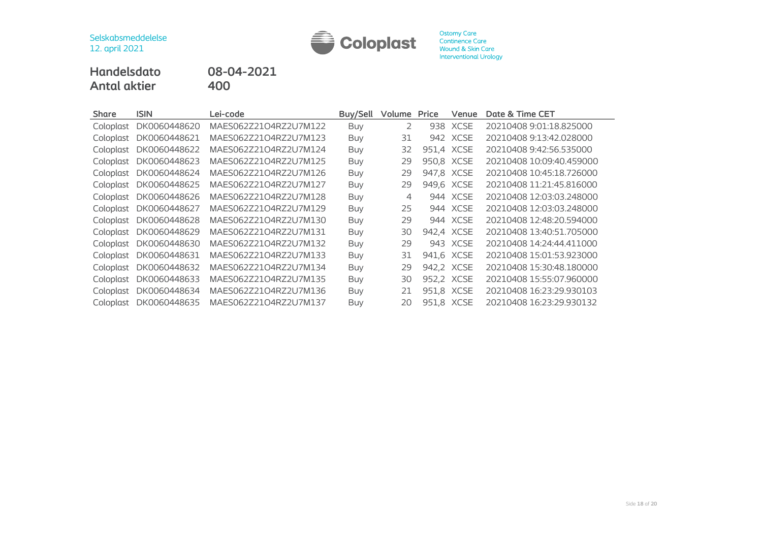

# **Handelsdato 08-04-2021 Antal aktier**

| <b>Share</b> | <b>ISIN</b>  | Lei-code              | Buy/Sell   | Volume | Price | Venue       | Date & Time CET          |
|--------------|--------------|-----------------------|------------|--------|-------|-------------|--------------------------|
| Coloplast    | DK0060448620 | MAES062Z21O4RZ2U7M122 | Buy        | 2      | 938   | XCSE        | 20210408 9:01:18.825000  |
| Coloplast    | DK0060448621 | MAES062Z21O4RZ2U7M123 | Buy        | 31     | 942   | <b>XCSE</b> | 20210408 9:13:42.028000  |
| Coloplast    | DK0060448622 | MAES062Z21O4RZ2U7M124 | Buy        | 32     |       | 951,4 XCSE  | 20210408 9:42:56.535000  |
| Coloplast    | DK0060448623 | MAES062Z21O4RZ2U7M125 | Buy        | 29     |       | 950,8 XCSE  | 20210408 10:09:40.459000 |
| Coloplast    | DK0060448624 | MAES062Z21O4RZ2U7M126 | Buy        | 29     | 947,8 | <b>XCSE</b> | 20210408 10:45:18.726000 |
| Coloplast    | DK0060448625 | MAES062Z21O4RZ2U7M127 | <b>Buy</b> | 29     | 949,6 | <b>XCSE</b> | 20210408 11:21:45.816000 |
| Coloplast    | DK0060448626 | MAES062Z21O4RZ2U7M128 | Buy        | 4      | 944   | XCSE        | 20210408 12:03:03.248000 |
| Coloplast    | DK0060448627 | MAES062Z21O4RZ2U7M129 | Buy        | 25     | 944   | <b>XCSE</b> | 20210408 12:03:03.248000 |
| Coloplast    | DK0060448628 | MAES062Z21O4RZ2U7M130 | Buy        | 29     |       | 944 XCSE    | 20210408 12:48:20.594000 |
| Coloplast    | DK0060448629 | MAES062Z21O4RZ2U7M131 | Buy        | 30     |       | 942,4 XCSE  | 20210408 13:40:51.705000 |
| Coloplast    | DK0060448630 | MAES062Z21O4RZ2U7M132 | <b>Buy</b> | 29     | 943   | <b>XCSE</b> | 20210408 14:24:44.411000 |
| Coloplast    | DK0060448631 | MAES062Z21O4RZ2U7M133 | Buy        | 31     |       | 941,6 XCSE  | 20210408 15:01:53.923000 |
| Coloplast    | DK0060448632 | MAES062Z21O4RZ2U7M134 | Buy        | 29     |       | 942,2 XCSE  | 20210408 15:30:48.180000 |
| Coloplast    | DK0060448633 | MAES062Z21O4RZ2U7M135 | Buy        | 30     |       | 952,2 XCSE  | 20210408 15:55:07.960000 |
| Coloplast    | DK0060448634 | MAES062Z21O4RZ2U7M136 | Buy        | 21     | 951,8 | XCSE        | 20210408 16:23:29.930103 |
| Coloplast    | DK0060448635 | MAES062Z21O4RZ2U7M137 | Buy        | 20     |       | 951,8 XCSE  | 20210408 16:23:29.930132 |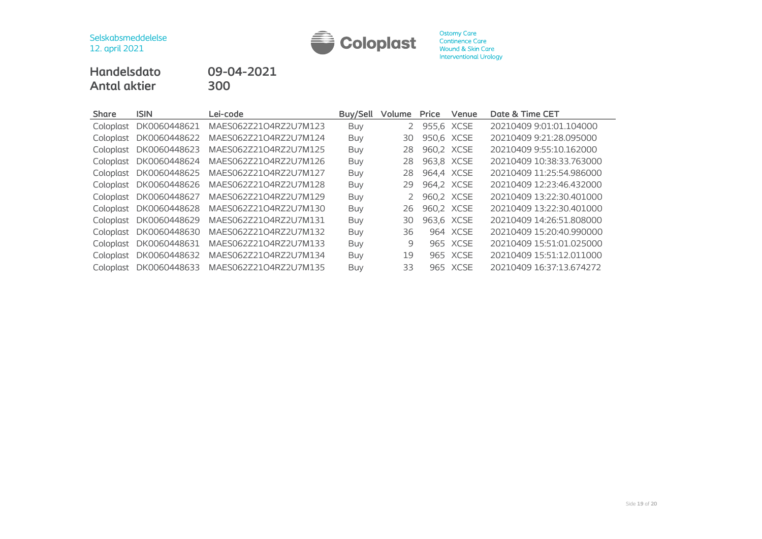

# **Handelsdato 09-04-2021 Antal aktier 300**

| <b>Share</b> | <b>ISIN</b>  | Lei-code              | Buy/Sell   | Volume | Price      | Venue    | Date & Time CET          |
|--------------|--------------|-----------------------|------------|--------|------------|----------|--------------------------|
| Coloplast    | DK0060448621 | MAES062Z21O4RZ2U7M123 | Buy        | 2      | 955,6 XCSE |          | 20210409 9:01:01.104000  |
| Coloplast    | DK0060448622 | MAES062Z21O4RZ2U7M124 | Buy        | 30     | 950,6 XCSE |          | 20210409 9:21:28.095000  |
| Coloplast    | DK0060448623 | MAES062Z21O4RZ2U7M125 | Buy        | 28     | 960,2 XCSE |          | 20210409 9:55:10.162000  |
| Coloplast    | DK0060448624 | MAES062Z21O4RZ2U7M126 | Buy        | 28     | 963,8 XCSE |          | 20210409 10:38:33.763000 |
| Coloplast    | DK0060448625 | MAES062Z21O4RZ2U7M127 | Buy        | 28     | 964,4 XCSE |          | 20210409 11:25:54.986000 |
| Coloplast    | DK0060448626 | MAES062Z21O4RZ2U7M128 | Buy        | 29     | 964.2 XCSE |          | 20210409 12:23:46.432000 |
| Coloplast    | DK0060448627 | MAES062Z21O4RZ2U7M129 | <b>Buy</b> |        | 960,2 XCSE |          | 20210409 13:22:30.401000 |
| Coloplast    | DK0060448628 | MAES062Z21O4RZ2U7M130 | Buy        | 26     | 960,2 XCSE |          | 20210409 13:22:30.401000 |
| Coloplast    | DK0060448629 | MAES062Z21O4RZ2U7M131 | Buy        | 30     | 963,6 XCSE |          | 20210409 14:26:51.808000 |
| Coloplast    | DK0060448630 | MAES062Z21O4RZ2U7M132 | Buy        | 36     |            | 964 XCSE | 20210409 15:20:40.990000 |
| Coloplast    | DK0060448631 | MAES062Z21O4RZ2U7M133 | Buy        | 9      |            | 965 XCSE | 20210409 15:51:01.025000 |
| Coloplast    | DK0060448632 | MAES062Z21O4RZ2U7M134 | <b>Buy</b> | 19     |            | 965 XCSE | 20210409 15:51:12.011000 |
| Coloplast    | DK0060448633 | MAES062Z21O4RZ2U7M135 | Buy        | 33     |            | 965 XCSE | 20210409 16:37:13.674272 |